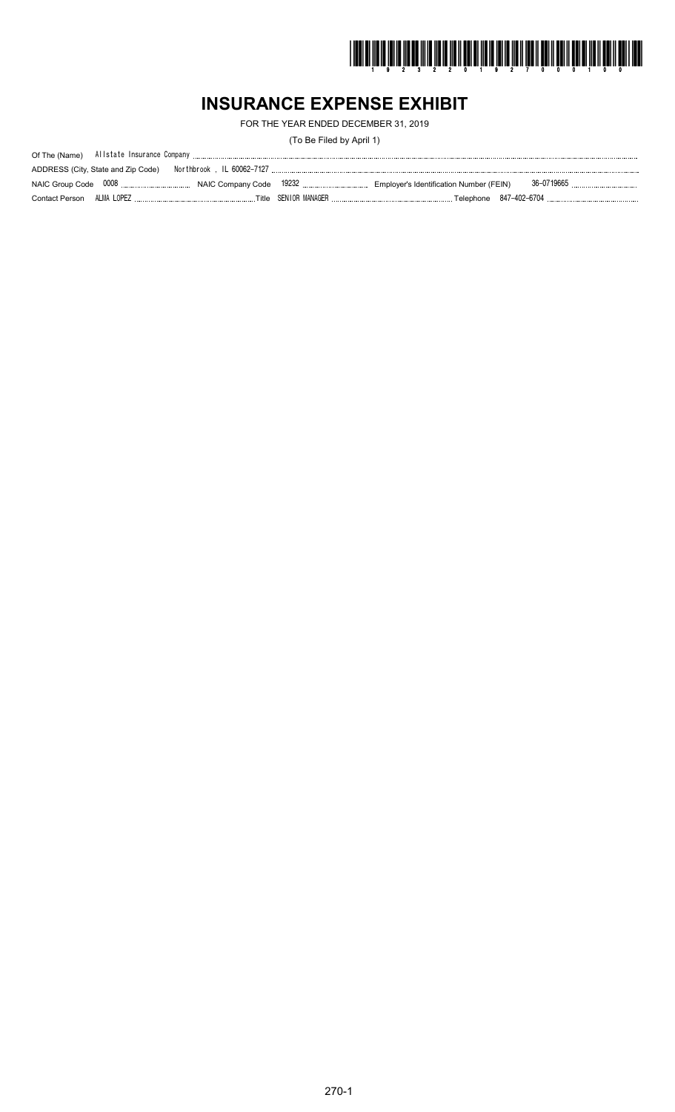

# **INSURANCE EXPENSE EXHIBIT**

FOR THE YEAR ENDED DECEMBER 31, 2019

(To Be Filed by April 1)

| ADDRESS (City, State and Zip Code) |  |            |
|------------------------------------|--|------------|
|                                    |  | 36-0719665 |
|                                    |  |            |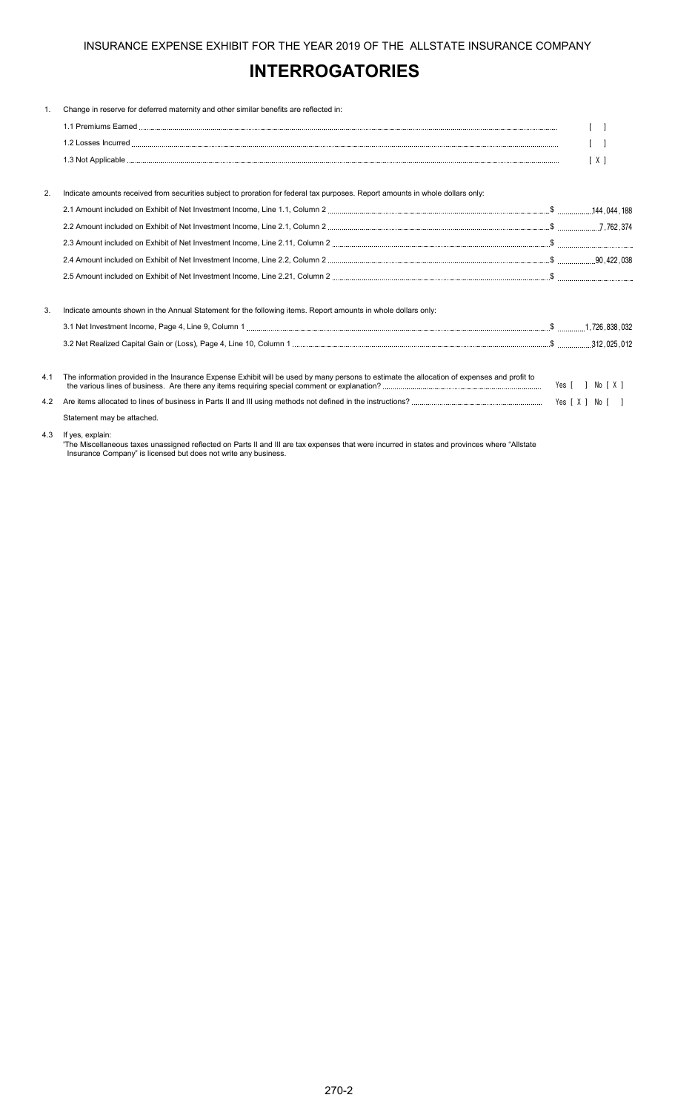## **INTERROGATORIES**

| 1.  | Change in reserve for deferred maternity and other similar benefits are reflected in:                                                       |     |
|-----|---------------------------------------------------------------------------------------------------------------------------------------------|-----|
|     |                                                                                                                                             |     |
|     |                                                                                                                                             |     |
|     |                                                                                                                                             | [X] |
|     |                                                                                                                                             |     |
| 2.  | Indicate amounts received from securities subject to proration for federal tax purposes. Report amounts in whole dollars only:              |     |
|     |                                                                                                                                             |     |
|     |                                                                                                                                             |     |
|     |                                                                                                                                             |     |
|     |                                                                                                                                             |     |
|     |                                                                                                                                             |     |
| 3.  | Indicate amounts shown in the Annual Statement for the following items. Report amounts in whole dollars only:                               |     |
|     |                                                                                                                                             |     |
|     |                                                                                                                                             |     |
| 4.1 | The information provided in the Insurance Expense Exhibit will be used by many persons to estimate the allocation of expenses and profit to |     |
| 4.2 |                                                                                                                                             |     |
|     | Statement may be attached.                                                                                                                  |     |
| 4.3 | If yes, explain:                                                                                                                            |     |

'The Miscellaneous taxes unassigned reflected on Parts II and III are tax expenses that were incurred in states and provinces where "Allstate Insurance Company" is licensed but does not write any business.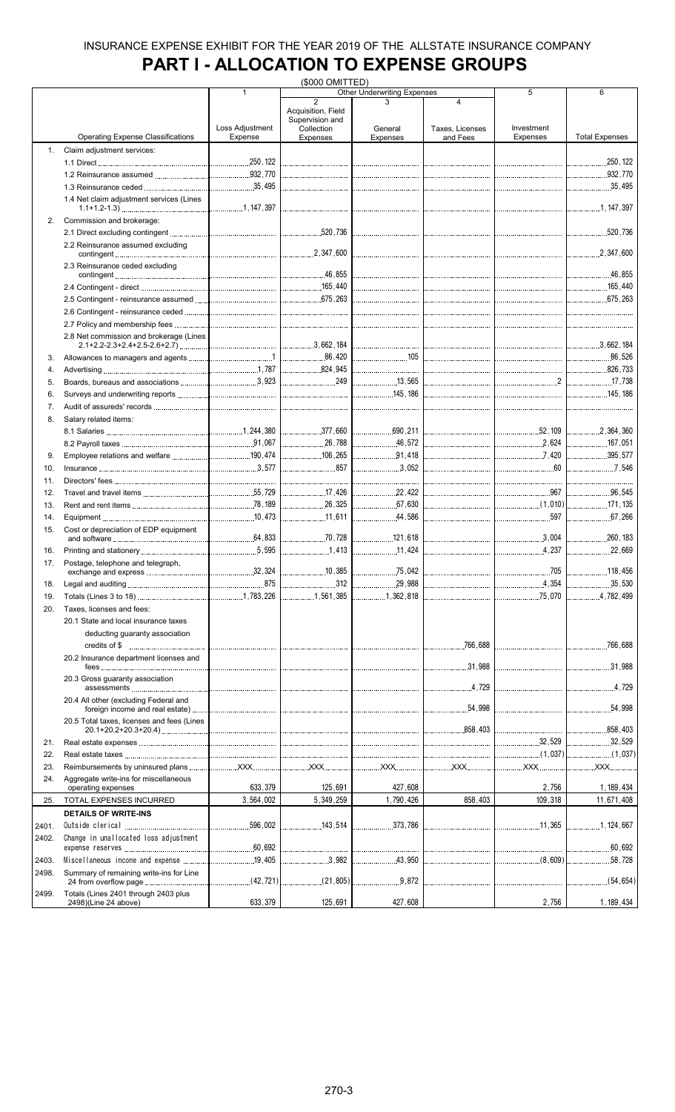# **PART I - ALLOCATION TO EXPENSE GROUPS**

|       |                                                              | (\$000 OMITTED) |                                                                       |                                    |                      |                                     |                                       |
|-------|--------------------------------------------------------------|-----------------|-----------------------------------------------------------------------|------------------------------------|----------------------|-------------------------------------|---------------------------------------|
|       |                                                              | $\mathbf{1}$    |                                                                       | <b>Other Underwriting Expenses</b> |                      | 5                                   | 6                                     |
|       |                                                              | Loss Adjustment | $\overline{2}$<br>Acquisition, Field<br>Supervision and<br>Collection | General                            | 4<br>Taxes, Licenses | Investment                          |                                       |
|       | <b>Operating Expense Classifications</b>                     | Expense         | Expenses                                                              | Expenses                           | and Fees             | Expenses                            | <b>Total Expenses</b>                 |
| 1.    | Claim adjustment services:                                   |                 |                                                                       |                                    |                      |                                     |                                       |
|       |                                                              |                 |                                                                       |                                    |                      |                                     |                                       |
|       |                                                              |                 |                                                                       |                                    |                      |                                     |                                       |
|       |                                                              |                 |                                                                       |                                    |                      |                                     | 35,495                                |
|       | 1.4 Net claim adjustment services (Lines                     |                 |                                                                       |                                    |                      |                                     |                                       |
| 2.    | Commission and brokerage:                                    |                 |                                                                       |                                    |                      |                                     |                                       |
|       | 2.2 Reinsurance assumed excluding                            |                 |                                                                       |                                    |                      |                                     | .2,347,600                            |
|       | 2.3 Reinsurance ceded excluding                              |                 |                                                                       |                                    |                      |                                     |                                       |
|       |                                                              |                 |                                                                       |                                    |                      |                                     |                                       |
|       |                                                              |                 |                                                                       |                                    | <br>                 |                                     |                                       |
|       |                                                              |                 |                                                                       |                                    |                      |                                     |                                       |
|       |                                                              |                 |                                                                       |                                    |                      |                                     |                                       |
|       | 2.8 Net commission and brokerage (Lines                      |                 |                                                                       |                                    |                      |                                     |                                       |
| 3.    |                                                              |                 |                                                                       |                                    |                      |                                     |                                       |
| 4.    |                                                              |                 |                                                                       |                                    |                      |                                     |                                       |
| 5.    |                                                              |                 |                                                                       |                                    |                      | $\sim$ 2                            | 17.738                                |
| 6.    |                                                              |                 |                                                                       |                                    |                      |                                     |                                       |
| 7.    |                                                              |                 |                                                                       |                                    |                      |                                     |                                       |
| 8.    | Salary related items:                                        |                 |                                                                       |                                    |                      |                                     |                                       |
|       |                                                              |                 |                                                                       |                                    |                      |                                     |                                       |
|       |                                                              |                 |                                                                       | 1.1.1.1.1.1.1.0.00                 |                      |                                     | 167,051                               |
| 9.    |                                                              |                 | 106,265                                                               | 91.418                             |                      | 7,420                               | 395,577                               |
| 10.   |                                                              |                 | 857                                                                   | 3,052                              |                      |                                     |                                       |
| 11.   |                                                              |                 |                                                                       |                                    |                      |                                     |                                       |
| 12.   |                                                              |                 | 17.426                                                                | 22,422                             |                      | $\frac{1}{2}$ 967                   | 96,545                                |
|       |                                                              |                 |                                                                       | 67.630                             |                      |                                     |                                       |
| 13.   |                                                              |                 | 11,611                                                                | 44,586                             |                      |                                     | 67,266                                |
| 14.   |                                                              |                 |                                                                       |                                    |                      | 597                                 |                                       |
| 15.   | Cost or depreciation of EDP equipment                        |                 |                                                                       | 121,618                            |                      |                                     | 260,183                               |
| 16.   |                                                              |                 |                                                                       | 11,424                             |                      | 4.237<br>.                          | 22,669                                |
| 17.   | Postage, telephone and telegraph,                            |                 |                                                                       |                                    |                      |                                     |                                       |
|       | exchange and express                                         | .32,324         | 10,385                                                                | 75,042                             |                      |                                     | 118,456                               |
| 18.   |                                                              | .875            | 312                                                                   | 29,988                             |                      | 4,354                               | .35,530                               |
| 19.   |                                                              |                 | 1,561,385                                                             | 1,362,818                          |                      | 75,070                              | 4,782,499                             |
| 20.   | Taxes, licenses and fees:                                    |                 |                                                                       |                                    |                      |                                     |                                       |
|       | 20.1 State and local insurance taxes                         |                 |                                                                       |                                    |                      |                                     |                                       |
|       | deducting guaranty association                               |                 |                                                                       |                                    |                      |                                     |                                       |
|       |                                                              |                 |                                                                       |                                    | .766,688             |                                     | 766,688<br>.                          |
|       | 20.2 Insurance department licenses and                       |                 |                                                                       |                                    |                      |                                     | .31,988<br>.                          |
|       | 20.3 Gross guaranty association                              |                 |                                                                       |                                    |                      |                                     |                                       |
|       | 20.4 All other (excluding Federal and                        |                 |                                                                       |                                    | .54,998              | the contract of the contract of the | 54,998                                |
|       | 20.5 Total taxes, licenses and fees (Lines                   |                 |                                                                       |                                    |                      |                                     | .858,403                              |
| 21.   |                                                              |                 |                                                                       |                                    |                      | 32,529                              | 32,529                                |
| 22.   |                                                              |                 |                                                                       |                                    |                      |                                     | $\begin{bmatrix} 1,037 \end{bmatrix}$ |
| 23.   |                                                              |                 |                                                                       |                                    |                      |                                     |                                       |
| 24.   | Aggregate write-ins for miscellaneous                        |                 |                                                                       |                                    |                      |                                     |                                       |
|       | operating expenses                                           | 633,379         | 125,691                                                               | 427,608                            |                      | 2,756                               | 1, 189, 434                           |
| 25.   | TOTAL EXPENSES INCURRED                                      | 3,564,002       | 5,349,259                                                             | 1,790,426                          | 858,403              | 109,318                             | 11,671,408                            |
|       | <b>DETAILS OF WRITE-INS</b>                                  |                 |                                                                       |                                    |                      |                                     |                                       |
| 2401. |                                                              |                 | 143,514                                                               | 373,786                            |                      |                                     |                                       |
| 2402. | Change in unallocated loss adjustment                        |                 |                                                                       |                                    |                      |                                     |                                       |
|       |                                                              |                 |                                                                       |                                    |                      |                                     | .60,692<br>.                          |
| 2403. |                                                              |                 | 3,982                                                                 | $\ldots$ 43,950                    |                      |                                     |                                       |
| 2498. | Summary of remaining write-ins for Line                      |                 |                                                                       |                                    |                      |                                     | (54,654)<br>.                         |
| 2499. | Totals (Lines 2401 through 2403 plus<br>2498)(Line 24 above) | 633,379         | 125,691                                                               | 427,608                            |                      | 2,756                               | 1, 189, 434                           |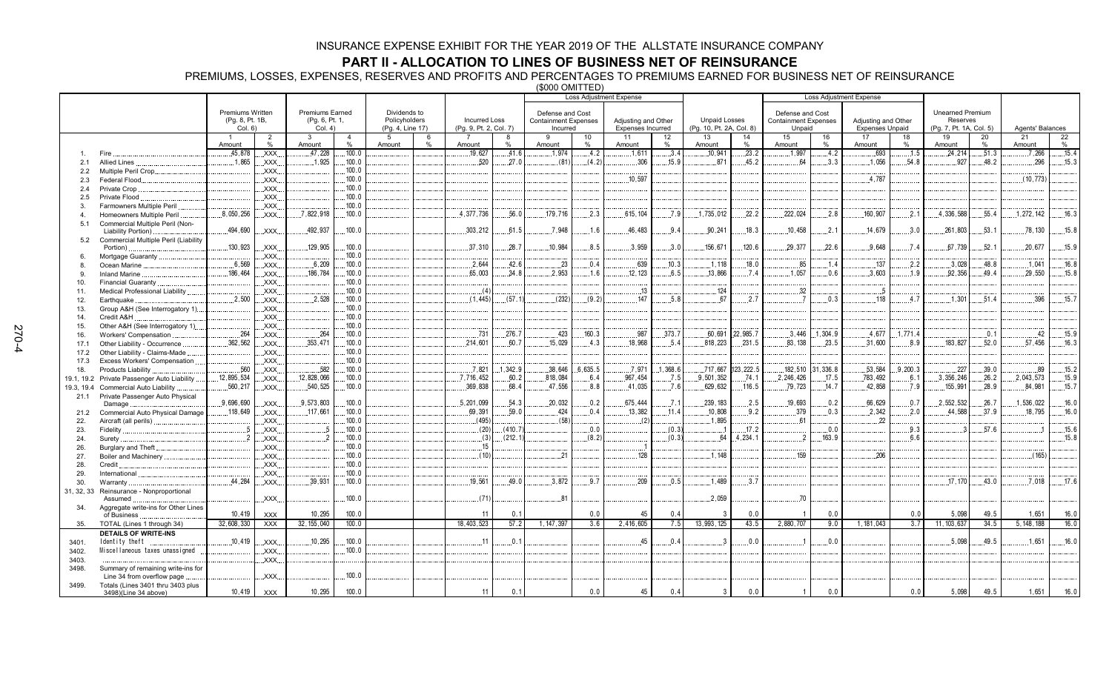### **PART II - ALLOCATION TO LINES OF BUSINESS NET OF REINSURANCE**

PREMIUMS, LOSSES, EXPENSES, RESERVES AND PROFITS AND PERCENTAGES TO PREMIUMS EARNED FOR BUSINESS NET OF REINSURANCE

(\$000 OMITTED)

|              |                                                       |                            |                |                           |                 |                                   |   |                        |         |                                         |                 | <b>Loss Adjustment Expense</b>           |         |                          | <b>Loss Adjustment Expense</b> |                                       |           |                                               |          |                                     |       |                  |       |
|--------------|-------------------------------------------------------|----------------------------|----------------|---------------------------|-----------------|-----------------------------------|---|------------------------|---------|-----------------------------------------|-----------------|------------------------------------------|---------|--------------------------|--------------------------------|---------------------------------------|-----------|-----------------------------------------------|----------|-------------------------------------|-------|------------------|-------|
|              |                                                       |                            |                |                           |                 |                                   |   |                        |         |                                         |                 |                                          |         |                          |                                |                                       |           |                                               |          |                                     |       |                  |       |
|              |                                                       | Premiums Written           |                | <b>Premiums Earned</b>    |                 | Dividends to                      |   | <b>Incurred Loss</b>   |         | Defense and Cost                        |                 |                                          |         | <b>Unpaid Losses</b>     |                                | Defense and Cost                      |           |                                               |          | <b>Unearned Premium</b><br>Reserves |       |                  |       |
|              |                                                       | (Pg. 8, Pt. 1B,<br>Col. 6) |                | (Pg. 6, Pt. 1,<br>Col. 4) |                 | Policyholders<br>(Pg. 4, Line 17) |   | (Pg. 9, Pt. 2, Col. 7) |         | <b>Containment Expenses</b><br>Incurred |                 | Adjusting and Other<br>Expenses Incurred |         | (Pg. 10, Pt. 2A, Col. 8) |                                | <b>Containment Expenses</b><br>Unpaid |           | Adjusting and Other<br><b>Expenses Unpaid</b> |          | (Pg. 7, Pt. 1A, Col. 5)             |       | Agents' Balances |       |
|              |                                                       |                            | $\overline{2}$ | $\mathbf{3}$              | $\overline{4}$  | $5^{\circ}$                       | 6 |                        | 8       | $\mathbf{q}$                            | 10 <sup>1</sup> | 11                                       | 12      | 13                       | 14                             | 15                                    | 16        | 17                                            | 18       | 19                                  | 20    | 21               | 22    |
|              |                                                       | Amount                     | %              | Amount                    | $\%$            | Amount                            | % | Amount                 | %       | Amount                                  | %               | Amount                                   | %       | Amount                   | %                              | Amount                                | %         | Amount                                        | %        | Amount                              | %     | Amount           | $\%$  |
| $\mathbf{1}$ | Fire                                                  | .45,878                    | XXX            | .47,228                   | 100.0           |                                   |   | .19.627                | .41.6   | .1.974                                  | .4.2            | .1.611                                   | .3.4    | .10,941                  | .23.2                          | .1.997                                | .4.2      | .693                                          | .1.5     | 24,214                              | .51.3 | 7,266            | .15.4 |
| 2.1          | Allied Lines                                          | .1,865                     | XXX.           | 1.925                     | 100.0           |                                   |   | .520                   | 27.0    | (81)                                    | (4.2)           | .306                                     | .15.9   | 871                      | 45.2                           | 64                                    | 3.3       | 1.056                                         | .54.8    | .927                                | 48.2  | .296             | .15.3 |
| 2.2          | Multiple Peril Crop                                   |                            | XXX.           |                           | 100.0           |                                   |   |                        |         |                                         |                 |                                          |         |                          |                                |                                       |           |                                               |          |                                     |       |                  |       |
| 2.3          | Federal Flood                                         |                            | XXX.           |                           | 100.0           |                                   |   |                        |         |                                         |                 | 10,597                                   |         |                          |                                |                                       |           | 4.787                                         |          |                                     |       | (10, 773)        |       |
| 2.4          | Private Crop                                          |                            | XXX            |                           | 100.0           |                                   |   |                        |         |                                         |                 |                                          |         |                          |                                |                                       |           |                                               |          |                                     |       |                  |       |
| 2.5          | Private Flood                                         |                            | XXX.           |                           | 100.0           |                                   |   |                        |         |                                         |                 |                                          |         |                          |                                |                                       |           |                                               |          |                                     |       |                  |       |
| 3.           | Farmowners Multiple Peril                             | .8.050.256                 | XXX.           | 7,822,918                 | .100.0<br>100.0 |                                   |   | .4,377,736             | 56.0    | 179,716                                 | 2.3             | .615.104                                 | .7.9    | 1.735.012                | 22.2                           | 222.024                               | .2.8      | .160.907                                      | .2.1     | 4,336,588                           | .55.4 | 1,272,142        | .16.3 |
| 4            | Homeowners Multiple Peril                             |                            | XXX.           |                           |                 |                                   |   |                        |         |                                         |                 |                                          |         |                          |                                |                                       |           |                                               |          |                                     |       |                  |       |
| 5.1          | Commercial Multiple Peril (Non-<br>Liability Portion) | 494,690                    | XXX.           | 492,937                   | 100.0           |                                   |   | 303,212                | 61.5    | 7,948                                   | 1.6             | 46,483                                   | 9.4     | .90,241                  | 18.3                           | 10.458                                | .2.1      | 14,679                                        | 3.0      | 261,803                             | 53.1  | 78, 130          | 15.8  |
| 5.2          | Commercial Multiple Peril (Liability                  |                            |                |                           |                 |                                   |   |                        |         |                                         |                 |                                          |         |                          |                                |                                       |           |                                               |          |                                     |       |                  |       |
|              | Portion)                                              | 130,923                    | .XXX.          | 129,905                   | 100.0           |                                   |   | 37,310                 | .28.7   | 10,984                                  | 8.5             | .3.959                                   | .3.0    | 156,671                  | .120.6                         | 29,377                                | .22.6     | 9.648                                         | .7.4     | .67,739                             | .52.1 | 20,677           | 15.9  |
| 6.           | Mortgage Guaranty                                     |                            | XXX.           |                           | 100.0           |                                   |   |                        |         |                                         |                 |                                          |         |                          |                                |                                       |           |                                               |          |                                     |       |                  |       |
|              | Ocean Marine                                          | 6,569                      | XXX.           | .6,209                    | 100.0           |                                   |   | 2.644                  | 42.6    | .23                                     | 0.4             | 639                                      | 10.3    | 1,118                    | 18.0                           | .85                                   | 1.4       | 137                                           | .2.2     | .3.028                              | 48.8  | .1.041           | 16.8  |
|              | <b>Inland Marine</b>                                  | 186,464                    | XXX            | .186,784                  | 100.0           |                                   |   | .65,003                | .34.8   | .2,953                                  | .1.6            | .12, 123                                 | .6.5    | .13,866                  | .7.4                           | .1,057                                | 0.6       | .3,603                                        | .1.9     | 92,356                              | 49.4  | 29,550           | 15.8  |
| 10.          | Financial Guaranty.                                   |                            | XXX.           |                           | 100.0           |                                   |   |                        |         |                                         |                 |                                          |         |                          |                                |                                       |           |                                               |          |                                     |       |                  |       |
| 11.          | <b>Medical Professional Liability</b>                 |                            | XXX.           |                           | 100.0           |                                   |   | (4)                    |         |                                         |                 | .13                                      |         | .124                     |                                | .32                                   |           | -5                                            |          |                                     |       |                  |       |
| 12.          | Earthquake                                            | .2.500                     | .XXX.          | .2.528                    | 100.0           |                                   |   | (1.445)                | (57.1)  | (232)                                   | (9.2)           | .147                                     | .5.8    | .67                      | .2.7                           | $\overline{7}$                        | .0.3      | .118                                          | .4.7     | .1.301                              | .51.4 | .396             | .15.7 |
| 13.          | Group A&H (See Interrogatory 1).                      |                            | .XXX.          |                           | 100.0           |                                   |   |                        |         |                                         |                 |                                          |         |                          |                                |                                       |           |                                               |          |                                     |       |                  |       |
| 14.          | Credit A&H                                            |                            | XXX.           |                           | 100.0           |                                   |   |                        |         |                                         |                 |                                          |         |                          |                                |                                       |           |                                               |          |                                     |       |                  |       |
| 15.          | Other A&H (See Interrogatory 1)                       |                            | XXX.           |                           | 100.0           |                                   |   |                        |         |                                         |                 |                                          |         |                          |                                |                                       |           |                                               |          |                                     |       |                  |       |
| 16.          | Workers' Compensation                                 | .264                       | XXX.           | .264                      | 100.0           |                                   |   | .731                   | ,276.7  | .423                                    | 160.3           | .987                                     | 373.7   | .60,691                  | 22,985.7                       | 3,446                                 | .1,304.9  | .4,677                                        | .1,771.4 |                                     | .0.1  | 42               | .15.9 |
| 17.1         | Other Liability - Occurrence                          | .362,562                   | XXX            | 353.471                   | 100.0           |                                   |   | 214,601                | 60.7    | 15.029                                  | 4.3             | 18.968                                   | 5.4     | 818.223                  | 231.5                          | 83.138                                | 23.5      | 31,600                                        | 8.9      | 183.827                             | 52.0  | 57.456           | 16.3  |
| 17.2         | Other Liability - Claims-Made                         |                            | XXX.           |                           | 100.0           |                                   |   |                        |         |                                         |                 |                                          |         |                          |                                |                                       |           |                                               |          |                                     |       |                  |       |
| 17.3         | Excess Workers' Compensation                          |                            | XXX.           |                           | 100.0           |                                   |   |                        |         |                                         |                 |                                          |         |                          |                                |                                       |           |                                               |          |                                     |       |                  |       |
| 18.          | Products Liability                                    | .560                       | XXX.           | .582                      | 100.0           |                                   |   | .7,821                 | 1,342.9 | .38,646                                 | .6,635.5        | .7,971                                   | 1,368.6 | .717,667                 | 123, 222.5                     | .182,510                              | .31,336.8 | .53,584                                       | .9,200.3 | .227                                | .39.0 | .89              | .15.2 |
| 19.1, 19.2   | Private Passenger Auto Liability                      | 12,895,534                 | XXX.           | 12,828,066                | 100.0           |                                   |   | 7.716.452              | 60.2    | .818,084                                | 6.4             | .967, 454                                | .7.5    | 9.501.352                | .74.1                          | .2,246,426                            | .17.5     | .783,492                                      | .6.1     | .3,356,246                          | .26.2 | 2,043,573        | .15.9 |
| 19.3, 19.4   | Commercial Auto Liability                             | .560,217                   | XXX.           | .540,525                  | 100.0           |                                   |   | .369,838               | 68.4    | .47,556                                 | 8.8             | 41,035                                   | .7.6    | .629,632                 | .116.5                         | .79,723                               | .14.7     | 42,858                                        | .7.9     | 155,991                             | .28.9 | 84,981           | 15.7  |
| 21.1         | Private Passenger Auto Physical                       |                            |                |                           |                 |                                   |   |                        |         |                                         |                 |                                          |         |                          |                                |                                       |           |                                               |          |                                     |       |                  |       |
|              | Damage                                                | .9,696,690                 | XXX.           | .9,573,803                | 100.0           |                                   |   | .5,201,099             | 54.3    | .20,032                                 | .0.2            | .675,444                                 | .7.1    | 239, 183                 | .2.5                           | 19,693                                | .0.2      | 66,629                                        | .0.7     | .2,552,532                          | .26.7 | 1,536,022        | .16.0 |
| 21.2         | Commercial Auto Physical Damage                       | .118,649                   | .XXX.          | .117,661                  | 100.0<br>100.0  |                                   |   | .69,391<br>(495)       | .59.0   | .424<br>(58)                            | 0.4             | .13,382<br>(2)                           | .11.4   | .10.808<br>1,895         | .9.2                           | .379<br>.61                           | .0.3      | .2.342<br>22                                  | .2.0     | .44,588                             | .37.9 | .18,795          | 16.0  |
| 22.          | Aircraft (all perils).                                | .5                         | XXX.<br>XXX.   |                           | 100.0           |                                   |   | (20)                   | (410.7) |                                         | 0.0             |                                          | (0.3)   |                          | .17.2                          |                                       | 0.0       |                                               | .9.3     |                                     | 57.6  |                  | .15.6 |
| 23.<br>24.   | Fidelity<br>Surety                                    | $\overline{2}$             | XXX.           | 2                         | 100.0           |                                   |   | (3)                    | (212.1) |                                         | (8.2)           |                                          | (0.3)   | .64                      | .4.234.1                       | $\overline{2}$                        | .163.9    |                                               | 6.6      |                                     |       |                  | 15.8  |
| 26.          | Burglary and Theft                                    |                            | XXX            |                           | 100.0           |                                   |   | .15                    |         |                                         |                 |                                          |         |                          |                                |                                       |           |                                               |          |                                     |       |                  |       |
| 27.          | Boiler and Machinery                                  |                            | XXX            |                           | 100.0           |                                   |   | (10)                   |         | 21                                      |                 | 128                                      |         | 1,148                    |                                | 159                                   |           | 206                                           |          |                                     |       | (165)            |       |
| 28.          | Credit                                                |                            | XXX.           |                           | 100.0           |                                   |   |                        |         |                                         |                 |                                          |         |                          |                                |                                       |           |                                               |          |                                     |       |                  |       |
| 29.          | International                                         |                            | XXX.           |                           | .100.0          |                                   |   |                        |         |                                         |                 |                                          |         |                          |                                |                                       |           |                                               |          |                                     |       |                  |       |
| 30.          | Warranty                                              | .44,284                    | XXX.           | .39,931                   | 100.0           |                                   |   | .19.561                | 49.0    | .3,872                                  | 9.7             | .209                                     | .0.5    | .1,489                   | 3.7                            |                                       |           |                                               |          | .17, 170                            | .43.0 | .7.018           | .17.6 |
| 31, 32, 33   | Reinsurance - Nonproportional                         |                            |                |                           |                 |                                   |   |                        |         |                                         |                 |                                          |         |                          |                                |                                       |           |                                               |          |                                     |       |                  |       |
|              | Assumed                                               |                            | XXX.           |                           | 100.0           |                                   |   | (71)                   |         | 81                                      |                 |                                          |         | .2,059                   |                                | .70                                   |           |                                               |          |                                     |       |                  |       |
| 34.          | Aggregate write-ins for Other Lines                   |                            |                |                           |                 |                                   |   |                        |         |                                         |                 |                                          |         |                          |                                |                                       |           |                                               |          |                                     |       |                  |       |
|              | of Business                                           | 10,419                     | <b>XXX</b>     | 10,295                    | 100.0           |                                   |   | 11                     | 0.1     |                                         | 0.0             | 45                                       | 0.4     | -3                       | 0.0                            | $\overline{\mathbf{1}}$               | 0.0       |                                               | 0.0      | 5,098                               | 49.5  | 1,651            | 16.0  |
| 35.          | TOTAL (Lines 1 through 34)                            | 32,608,330                 | <b>XXX</b>     | 32, 155, 040              | 100.0           |                                   |   | 18.403.523             | 57.2    | 1, 147, 397                             | 3.6             | 2,416,605                                | 7.5     | 13,993,125               | 43.5                           | 2,880,707                             | 9.0       | 1, 181, 043                                   | 3.7      | 11, 103, 637                        | 34.5  | 5.148.188        | 16.0  |
|              | <b>DETAILS OF WRITE-INS</b>                           |                            |                |                           |                 |                                   |   |                        |         |                                         |                 |                                          |         |                          |                                |                                       |           |                                               |          |                                     |       |                  |       |
| 3401.        | Identity theft                                        | 10.419                     | XXX.           | 10.295                    | 100.0           |                                   |   | .11                    | .0.1    |                                         |                 | 45                                       | 0.4     |                          | 0.0                            |                                       | 0.0       |                                               |          | .5.098                              | 49.5  | .1.651           | 16.0  |
| 3402.        | Miscellaneous taxes unassigned                        |                            | XXX.           |                           | 100.0           |                                   |   |                        |         |                                         |                 |                                          |         |                          |                                |                                       |           |                                               |          |                                     |       |                  |       |
| 3403.        |                                                       |                            | XXX.           |                           |                 |                                   |   |                        |         |                                         |                 |                                          |         |                          |                                |                                       |           |                                               |          |                                     |       |                  |       |
| 3498.        | Summary of remaining write-ins for                    |                            |                |                           |                 |                                   |   |                        |         |                                         |                 |                                          |         |                          |                                |                                       |           |                                               |          |                                     |       |                  |       |
|              | Line 34 from overflow page                            |                            | XXX.           |                           | 100.0           |                                   |   |                        |         |                                         |                 |                                          |         |                          |                                |                                       |           |                                               |          |                                     |       |                  |       |
| 3499.        | Totals (Lines 3401 thru 3403 plus                     | 10,419                     |                |                           | 100.0           |                                   |   | 11                     | 0.1     |                                         | 0.0             | 45                                       | 0.4     | 3                        | 0.0                            | $\mathbf{1}$                          | 0.0       |                                               | 0.0      | 5,098                               | 49.5  |                  | 16.0  |
|              | 3498)(Line 34 above)                                  |                            | <b>XXX</b>     | 10,295                    |                 |                                   |   |                        |         |                                         |                 |                                          |         |                          |                                |                                       |           |                                               |          |                                     |       | 1,651            |       |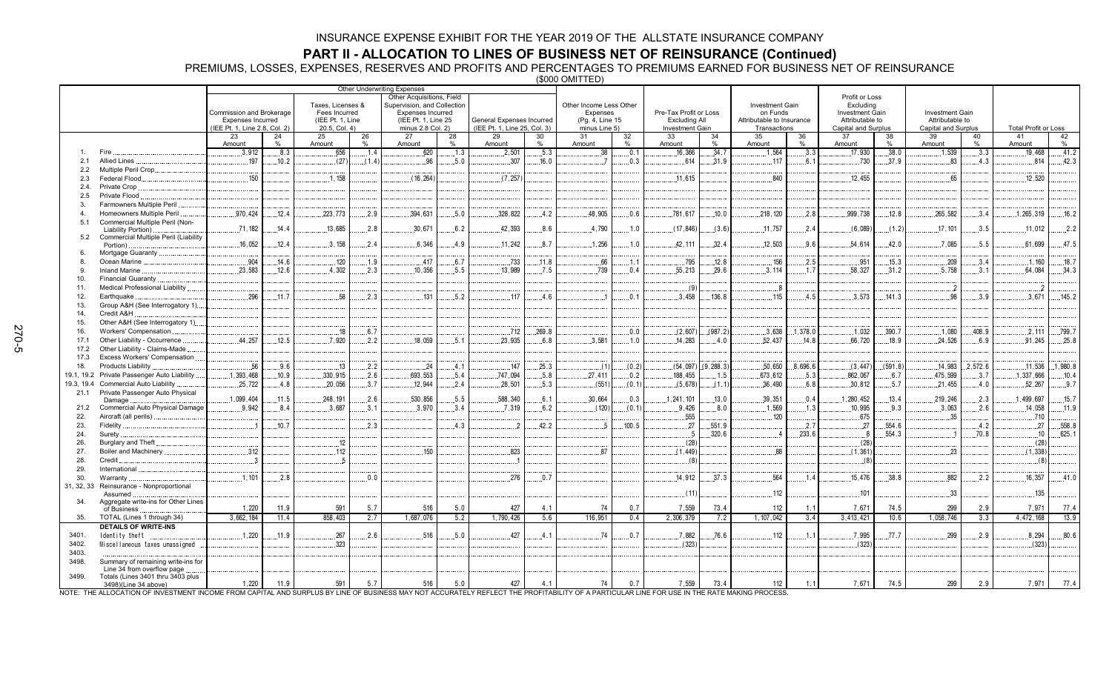**PART II - ALLOCATION TO LINES OF BUSINESS NET OF REINSURANCE (Continued)<br>PREMIUMS, LOSSES, EXPENSES, RESERVES AND PROFITS AND PERCENTAGES TO PREMIUMS EARNED FOR BUSINESS NET OF REINSURANCE<br>(\$000 OMITTED)** 

| Profit or Loss<br>Other Acquisitions, Field<br>Other Income Less Other<br>Taxes, Licenses &<br>Supervision, and Collection<br><b>Investment Gain</b><br>Excluding<br>Commission and Brokerage<br>Expenses<br>Pre-Tax Profit or Loss<br>on Funds<br>Fees Incurred<br><b>Expenses Incurred</b><br><b>Investment Gain</b><br>Investment Gain<br><b>Excluding All</b><br>(IEE Pt. 1, Line<br>(IEE Pt. 1, Line 25<br>General Expenses Incurred<br>(Pg. 4, Line 15<br>Attributable to Insurance<br>Attributable to<br><b>Expenses Incurred</b><br>Attributable to<br>(IEE Pt. 1, Line 25, Col. 3)<br>(IEE Pt. 1, Line 2.8, Col. 2)<br>20.5, Col. 4)<br>minus 2.8 Col. 2)<br>minus Line 5)<br>Investment Gain<br>Transactions<br>Capital and Surplus<br>Capital and Surplus<br><b>Total Profit or Loss</b><br>34<br>35<br>37<br>23<br>24<br>25<br>26<br>27<br>28<br>29<br>30<br>31<br>32<br>33<br>36<br>38<br>39<br>40<br>41<br>42<br>$\%$<br>$\frac{0}{6}$<br>$\%$<br>$\%$<br>$\frac{0}{0}$<br>Amount<br>Amount<br>Amount<br>0/2<br>Amount<br>0/2<br>Amount<br>Amount<br>Amount<br>Amount<br>$\frac{0}{n}$<br>Amount<br>$\frac{0}{6}$<br>Amount<br>0/2<br>Fire<br>.8.3<br>.656<br>.5.3<br>.34.7<br>1,564<br>.38.0<br>.41.2<br>.3.912<br>1.4<br>620<br>.2,501<br>.0.1<br>.3.3<br>.17,930<br>.1,539<br>3.3<br>19.468<br>.1.3<br>.38<br>.16.366<br>Allied Lines<br>197<br>5.0<br>.730<br>.37.9<br>.42.3<br>.10.2<br>(27)<br>96<br>.307<br>16.0<br>.0.3<br>614<br>.31.9<br>6.1<br>.83<br>814<br>2.1<br>(1.4)<br>.117<br>4.3<br>Multiple Peril Crop.<br>2.2<br>150<br>Federal Flood<br>.1.158<br>(16, 264)<br>(7.257)<br>840<br>12,455<br>.12.520<br>2.3<br>.11.615<br>65<br>Private Crop<br>2.4.<br>Private Flood<br>2.5<br>Farmowners Multiple Peril<br>3.<br>.394,631<br>328.822<br>218, 120<br>.999,738<br>.265,582<br>.1, 265, 319<br>.16.2<br>Homeowners Multiple Peril<br>.970,424<br>12.4<br>223,773<br>.2.9<br>.5.0<br>.4.2<br>48,905<br>0.6<br>.781,617<br>.10.0<br>.2.8<br>.12.8<br>.3.4<br>Commercial Multiple Peril (Non-<br>5.1<br>.71.182<br>.14.4<br>.13,685<br>.2.8<br>.30,671<br>6.2<br>42.393<br>.4.790<br>.11,757<br>.17,101<br>.3.5<br>.11,012<br>.2.2<br>.8.6<br>.1.0<br>(17, 846)<br>(3.6)<br>.2.4<br>(6,089)<br>(1.2)<br>Liability Portion).<br>Commercial Multiple Peril (Liability<br>5.2<br>.16,052<br>.12.4<br>.3,158<br>.6.346<br>.1.256<br>.32.4<br>.12,503<br>.54.614<br>.7.085<br>.5.5<br>.61,699<br>47.5<br>.2.4<br>.4.9<br>.11.242<br>.8.7<br>.1.0<br>.42.111<br>9.6<br>42.0<br>Portion).<br>Mortgage Guaranty<br>.904<br>Ocean Marine<br>.14.6<br>.120<br>.1.9<br>.417<br>.6.7<br>.733<br>.11.8<br>.66<br>.795<br>.12.8<br>.156<br>.2.5<br>.951<br>.15.3<br>.209<br>.3.4<br>.1.160<br>.18.7<br>8.<br>.1.1<br>23.583<br>4.302<br>.10.356<br>13.989<br>7.5<br>739<br>.55.213<br>29.6<br>.3,114<br>58.327<br>31.2<br>.5.758<br>64.084<br>.34.3<br>Inland Marine.<br>.12.6<br>2.3<br>5.5<br>0.4<br>1.7<br>3.1<br>9<br>Financial Guaranty.<br>10.<br>Medical Professional Liability<br>(9)<br>11.<br>$_{\rm 8}$<br>$^{2}$<br>296<br>58<br>3.573<br>98<br>3.671<br>145.2<br>2.3<br>131<br>5.2<br>117<br>0.1<br>3.458<br>136.8<br>115<br>4.5<br>141.3<br>3.9<br>Earthquake<br>11.7<br>4.6<br>12.<br>13.<br>Group A&H (See Interrogatory 1)<br>14.<br>Credit A&H<br>Other A&H (See Interrogatory 1)<br>15.<br>.712<br>.269.8<br>.390.7<br>.799.7<br>16.<br>Workers' Compensation<br>.18<br>.6.7<br>0.0<br>(2,607)<br>(987.2)<br>.3,638<br>1.378.0<br>.1.032<br>.1.080<br>.408.9<br>.2.111<br>44.257<br>.7.920<br>17.1<br>Other Liability - Occurrence<br>.12.5<br>.18.059<br>.5.1<br>23.935<br>6.8<br>.3.581<br>.1.0<br>.14.283<br>.4.0<br>.52,437<br>14.8<br>.66,720<br>.18.9<br>.24.526<br>.6.9<br>.91,245<br>.25.8<br>.2.2<br>Other Liability - Claims-Made.<br>17.2<br>Excess Workers' Compensation<br>17.3<br>.56<br>9,288.3<br>.50,650<br>8,696.6<br>(591.8)<br>2,572.6<br>11,536<br>1.980.8<br>.9.6<br>.13<br>.2.2<br>.147<br>.25.3<br>(0.2)<br>(54,097)<br>(3, 447)<br>.14,983<br>18.<br>Products Liability<br>.24<br>4.1<br>(1)<br>.1,393,468<br>.693,553<br>Private Passenger Auto Liability.<br>.10.9<br>.330,915<br>.747,094<br>.5.8<br>.27,411<br>188,455<br>673,612<br>.5.3<br>.862,067<br>.475,599<br>.1,337,666<br>19.1, 19.2<br>.2.6<br>.5.4<br>.0.2<br>.1.5<br>.6.7<br>3.7<br>.10.4<br>Commercial Auto Liability<br>.25.722<br>.20,056<br>(551)<br>6.8<br>19.3, 19.4<br>.4.8<br>3.7<br>.12.944<br>.2.4<br>.28.501<br>.5.3<br>(0.1)<br>(5,678)<br>(1.1)<br>.36,490<br>.30,812<br>.5.7<br>.21,455<br>.52.267<br>.9.7<br>.4.0<br>Private Passenger Auto Physical<br>21.1<br>.5.5<br>.1,099,404<br>.11.5<br>248.191<br>.530.856<br>.30.664<br>.13.0<br>.39,351<br>.13.4<br>219.246<br>.2.3<br>1,499,697<br>.15.7<br>.2.6<br>588.340<br>.6.1<br>.0.3<br>.1, 241, 101<br>.0.4<br>1,280,452<br>Damage<br>Commercial Auto Physical Damage<br>9.942<br>10,995<br>21.2<br>.8.4<br>3.687<br>.3,970<br>.7.319<br>(120)<br>.9.426<br>8.0<br>1,569<br>.9.3<br>.3,063<br>.2.6<br>14.058<br>.11.9<br>3.1<br>3.4<br>.6.2<br>(0.1)<br>.1.3<br>Aircraft (all perils)<br>.555<br>120<br>.675<br>.35<br>.710<br>22.<br>.10.7<br>.2.3<br>4.3<br>.42.2<br>100.5<br>.551.9<br>.2.7<br>27<br>.554.6<br>27<br>.558.8<br>23.<br>Fidelity.<br>27<br>.4.2<br>$\overline{1}$<br>-5<br>320.6<br>233.6<br>554.3<br>70.8<br>10 <sup>10</sup><br>625.1<br>24.<br>Surety.<br>Burglary and Theft.<br>.12<br>(28)<br>(28)<br>(28)<br>26.<br>.312<br>.112<br>150<br>.823<br>.88<br>(1, 361)<br>.23<br>(1, 338)<br>Boiler and Machinery.<br>87<br>(1, 449)<br>27.<br>28.<br>Credit.<br>$\mathbf{R}$<br>(8)<br>(8)<br>(8)<br>29.<br>International<br>.276<br>.564<br>30.<br>1,101<br>.14.912<br>.37.3<br>.15,476<br>.38.8<br>882<br>.16,357<br>.41.0<br>Warranty<br>.2.8<br>0.0<br>.0.7<br>.1.4<br>2.2<br>Reinsurance - Nonproportional<br>31, 32, 33<br>112<br>101<br>.33<br>.135<br>(11)<br>Assumed<br>Aggregate write-ins for Other Lines<br>34.<br>591<br>427<br>7,559<br>7,671<br>299<br>7,971<br>1,220<br>11.9<br>5.7<br>516<br>5.0<br>4.1<br>74<br>0.7<br>73.4<br>112<br>74.5<br>2.9<br>77.4<br>1.1<br>of Business<br>1,687,076<br>1, 107, 042<br>3.4<br>TOTAL (Lines 1 through 34)<br>3,662,184<br>11.4<br>858,403<br>2.7<br>5.2<br>1,790,426<br>5.6<br>116,951<br>0.4<br>2,306,379<br>7.2<br>3,413,421<br>10.6<br>1,058,746<br>3.3<br>4,472,168<br>13.9<br>35.<br><b>DETAILS OF WRITE-INS</b><br>.267<br>2.6<br>516<br>5.0<br>427<br>74<br>0.7<br>76.6<br>.7.995<br>.77.7<br>299<br>2.9<br>8,294<br>80.6<br>.1,220<br>.11.9<br>.4.1<br>.7.882<br>112<br>1.1<br>3401.<br>Identity theft<br>.323<br>(323)<br>3402.<br>(323)<br>(323)<br>Miscellaneous taxes unassigned<br>3403.<br>3498.<br>Summary of remaining write-ins for<br>Line 34 from overflow page<br>3499.<br>Totals (Lines 3401 thru 3403 plus<br>591<br>427<br>7,671<br>299<br>77.4<br>5.7<br>516<br>5.0<br>4.1<br>74<br>7,559<br>1.1<br>74.5<br>2.9<br>7,971<br>1,220<br>11.9<br>0.7<br>73.4<br>112<br>3498)(Line 34 above)<br>VOTE: THE ALLOCATION OF INVESTMENT INCOME FROM CAPITAL AND SURPLUS BY LINE OF BUSINESS MAY NOT ACCURATELY REFLECT THE PROFITABILITY OF A PARTICULAR LINE FOR USE IN THE RATE MAKING PROCESS |  | Other Underwriting Expenses |  |  |  |  |  |  |  |  |  |  |  |  |
|-------------------------------------------------------------------------------------------------------------------------------------------------------------------------------------------------------------------------------------------------------------------------------------------------------------------------------------------------------------------------------------------------------------------------------------------------------------------------------------------------------------------------------------------------------------------------------------------------------------------------------------------------------------------------------------------------------------------------------------------------------------------------------------------------------------------------------------------------------------------------------------------------------------------------------------------------------------------------------------------------------------------------------------------------------------------------------------------------------------------------------------------------------------------------------------------------------------------------------------------------------------------------------------------------------------------------------------------------------------------------------------------------------------------------------------------------------------------------------------------------------------------------------------------------------------------------------------------------------------------------------------------------------------------------------------------------------------------------------------------------------------------------------------------------------------------------------------------------------------------------------------------------------------------------------------------------------------------------------------------------------------------------------------------------------------------------------------------------------------------------------------------------------------------------------------------------------------------------------------------------------------------------------------------------------------------------------------------------------------------------------------------------------------------------------------------------------------------------------------------------------------------------------------------------------------------------------------------------------------------------------------------------------------------------------------------------------------------------------------------------------------------------------------------------------------------------------------------------------------------------------------------------------------------------------------------------------------------------------------------------------------------------------------------------------------------------------------------------------------------------------------------------------------------------------------------------------------------------------------------------------------------------------------------------------------------------------------------------------------------------------------------------------------------------------------------------------------------------------------------------------------------------------------------------------------------------------------------------------------------------------------------------------------------------------------------------------------------------------------------------------------------------------------------------------------------------------------------------------------------------------------------------------------------------------------------------------------------------------------------------------------------------------------------------------------------------------------------------------------------------------------------------------------------------------------------------------------------------------------------------------------------------------------------------------------------------------------------------------------------------------------------------------------------------------------------------------------------------------------------------------------------------------------------------------------------------------------------------------------------------------------------------------------------------------------------------------------------------------------------------------------------------------------------------------------------------------------------------------------------------------------------------------------------------------------------------------------------------------------------------------------------------------------------------------------------------------------------------------------------------------------------------------------------------------------------------------------------------------------------------------------------------------------------------------------------------------------------------------------------------------------------------------------------------------------------------------------------------------------------------------------------------------------------------------------------------------------------------------------------------------------------------------------------------------------------------------------------------------------------------------------------------------------------------------------------------------------------------------------------------------------------------------------------------------------------------------------------------------------------------------------------------------------------------------------------------------------------------------------------------------------------------------------------------------------------------------------------------------------------------------------------------------------------------------------------------------------------------------------------------------------------------------------------------------------------------------------------------------------------------------------------------------------------------------------------------------------------------------------------------------------------------------------------------------------------------------------------------------------------------------------------------------------------------------------------------------------------------------------------------------------------------------------------------------------------------------------------------------------------------------------------------------------------------------------------------------------------------------------------------------------------------------------------------------------------|--|-----------------------------|--|--|--|--|--|--|--|--|--|--|--|--|
|                                                                                                                                                                                                                                                                                                                                                                                                                                                                                                                                                                                                                                                                                                                                                                                                                                                                                                                                                                                                                                                                                                                                                                                                                                                                                                                                                                                                                                                                                                                                                                                                                                                                                                                                                                                                                                                                                                                                                                                                                                                                                                                                                                                                                                                                                                                                                                                                                                                                                                                                                                                                                                                                                                                                                                                                                                                                                                                                                                                                                                                                                                                                                                                                                                                                                                                                                                                                                                                                                                                                                                                                                                                                                                                                                                                                                                                                                                                                                                                                                                                                                                                                                                                                                                                                                                                                                                                                                                                                                                                                                                                                                                                                                                                                                                                                                                                                                                                                                                                                                                                                                                                                                                                                                                                                                                                                                                                                                                                                                                                                                                                                                                                                                                                                                                                                                                                                                                                                                                                                                                                                                                                                                                                                                                                                                                                                                                                                                                                                                                                                                                                                                                                                                                                                                                                                                                                                                                                                                                                                                                                                                                                                                                                           |  |                             |  |  |  |  |  |  |  |  |  |  |  |  |
|                                                                                                                                                                                                                                                                                                                                                                                                                                                                                                                                                                                                                                                                                                                                                                                                                                                                                                                                                                                                                                                                                                                                                                                                                                                                                                                                                                                                                                                                                                                                                                                                                                                                                                                                                                                                                                                                                                                                                                                                                                                                                                                                                                                                                                                                                                                                                                                                                                                                                                                                                                                                                                                                                                                                                                                                                                                                                                                                                                                                                                                                                                                                                                                                                                                                                                                                                                                                                                                                                                                                                                                                                                                                                                                                                                                                                                                                                                                                                                                                                                                                                                                                                                                                                                                                                                                                                                                                                                                                                                                                                                                                                                                                                                                                                                                                                                                                                                                                                                                                                                                                                                                                                                                                                                                                                                                                                                                                                                                                                                                                                                                                                                                                                                                                                                                                                                                                                                                                                                                                                                                                                                                                                                                                                                                                                                                                                                                                                                                                                                                                                                                                                                                                                                                                                                                                                                                                                                                                                                                                                                                                                                                                                                                           |  |                             |  |  |  |  |  |  |  |  |  |  |  |  |
|                                                                                                                                                                                                                                                                                                                                                                                                                                                                                                                                                                                                                                                                                                                                                                                                                                                                                                                                                                                                                                                                                                                                                                                                                                                                                                                                                                                                                                                                                                                                                                                                                                                                                                                                                                                                                                                                                                                                                                                                                                                                                                                                                                                                                                                                                                                                                                                                                                                                                                                                                                                                                                                                                                                                                                                                                                                                                                                                                                                                                                                                                                                                                                                                                                                                                                                                                                                                                                                                                                                                                                                                                                                                                                                                                                                                                                                                                                                                                                                                                                                                                                                                                                                                                                                                                                                                                                                                                                                                                                                                                                                                                                                                                                                                                                                                                                                                                                                                                                                                                                                                                                                                                                                                                                                                                                                                                                                                                                                                                                                                                                                                                                                                                                                                                                                                                                                                                                                                                                                                                                                                                                                                                                                                                                                                                                                                                                                                                                                                                                                                                                                                                                                                                                                                                                                                                                                                                                                                                                                                                                                                                                                                                                                           |  |                             |  |  |  |  |  |  |  |  |  |  |  |  |
|                                                                                                                                                                                                                                                                                                                                                                                                                                                                                                                                                                                                                                                                                                                                                                                                                                                                                                                                                                                                                                                                                                                                                                                                                                                                                                                                                                                                                                                                                                                                                                                                                                                                                                                                                                                                                                                                                                                                                                                                                                                                                                                                                                                                                                                                                                                                                                                                                                                                                                                                                                                                                                                                                                                                                                                                                                                                                                                                                                                                                                                                                                                                                                                                                                                                                                                                                                                                                                                                                                                                                                                                                                                                                                                                                                                                                                                                                                                                                                                                                                                                                                                                                                                                                                                                                                                                                                                                                                                                                                                                                                                                                                                                                                                                                                                                                                                                                                                                                                                                                                                                                                                                                                                                                                                                                                                                                                                                                                                                                                                                                                                                                                                                                                                                                                                                                                                                                                                                                                                                                                                                                                                                                                                                                                                                                                                                                                                                                                                                                                                                                                                                                                                                                                                                                                                                                                                                                                                                                                                                                                                                                                                                                                                           |  |                             |  |  |  |  |  |  |  |  |  |  |  |  |
|                                                                                                                                                                                                                                                                                                                                                                                                                                                                                                                                                                                                                                                                                                                                                                                                                                                                                                                                                                                                                                                                                                                                                                                                                                                                                                                                                                                                                                                                                                                                                                                                                                                                                                                                                                                                                                                                                                                                                                                                                                                                                                                                                                                                                                                                                                                                                                                                                                                                                                                                                                                                                                                                                                                                                                                                                                                                                                                                                                                                                                                                                                                                                                                                                                                                                                                                                                                                                                                                                                                                                                                                                                                                                                                                                                                                                                                                                                                                                                                                                                                                                                                                                                                                                                                                                                                                                                                                                                                                                                                                                                                                                                                                                                                                                                                                                                                                                                                                                                                                                                                                                                                                                                                                                                                                                                                                                                                                                                                                                                                                                                                                                                                                                                                                                                                                                                                                                                                                                                                                                                                                                                                                                                                                                                                                                                                                                                                                                                                                                                                                                                                                                                                                                                                                                                                                                                                                                                                                                                                                                                                                                                                                                                                           |  |                             |  |  |  |  |  |  |  |  |  |  |  |  |
|                                                                                                                                                                                                                                                                                                                                                                                                                                                                                                                                                                                                                                                                                                                                                                                                                                                                                                                                                                                                                                                                                                                                                                                                                                                                                                                                                                                                                                                                                                                                                                                                                                                                                                                                                                                                                                                                                                                                                                                                                                                                                                                                                                                                                                                                                                                                                                                                                                                                                                                                                                                                                                                                                                                                                                                                                                                                                                                                                                                                                                                                                                                                                                                                                                                                                                                                                                                                                                                                                                                                                                                                                                                                                                                                                                                                                                                                                                                                                                                                                                                                                                                                                                                                                                                                                                                                                                                                                                                                                                                                                                                                                                                                                                                                                                                                                                                                                                                                                                                                                                                                                                                                                                                                                                                                                                                                                                                                                                                                                                                                                                                                                                                                                                                                                                                                                                                                                                                                                                                                                                                                                                                                                                                                                                                                                                                                                                                                                                                                                                                                                                                                                                                                                                                                                                                                                                                                                                                                                                                                                                                                                                                                                                                           |  |                             |  |  |  |  |  |  |  |  |  |  |  |  |
|                                                                                                                                                                                                                                                                                                                                                                                                                                                                                                                                                                                                                                                                                                                                                                                                                                                                                                                                                                                                                                                                                                                                                                                                                                                                                                                                                                                                                                                                                                                                                                                                                                                                                                                                                                                                                                                                                                                                                                                                                                                                                                                                                                                                                                                                                                                                                                                                                                                                                                                                                                                                                                                                                                                                                                                                                                                                                                                                                                                                                                                                                                                                                                                                                                                                                                                                                                                                                                                                                                                                                                                                                                                                                                                                                                                                                                                                                                                                                                                                                                                                                                                                                                                                                                                                                                                                                                                                                                                                                                                                                                                                                                                                                                                                                                                                                                                                                                                                                                                                                                                                                                                                                                                                                                                                                                                                                                                                                                                                                                                                                                                                                                                                                                                                                                                                                                                                                                                                                                                                                                                                                                                                                                                                                                                                                                                                                                                                                                                                                                                                                                                                                                                                                                                                                                                                                                                                                                                                                                                                                                                                                                                                                                                           |  |                             |  |  |  |  |  |  |  |  |  |  |  |  |
|                                                                                                                                                                                                                                                                                                                                                                                                                                                                                                                                                                                                                                                                                                                                                                                                                                                                                                                                                                                                                                                                                                                                                                                                                                                                                                                                                                                                                                                                                                                                                                                                                                                                                                                                                                                                                                                                                                                                                                                                                                                                                                                                                                                                                                                                                                                                                                                                                                                                                                                                                                                                                                                                                                                                                                                                                                                                                                                                                                                                                                                                                                                                                                                                                                                                                                                                                                                                                                                                                                                                                                                                                                                                                                                                                                                                                                                                                                                                                                                                                                                                                                                                                                                                                                                                                                                                                                                                                                                                                                                                                                                                                                                                                                                                                                                                                                                                                                                                                                                                                                                                                                                                                                                                                                                                                                                                                                                                                                                                                                                                                                                                                                                                                                                                                                                                                                                                                                                                                                                                                                                                                                                                                                                                                                                                                                                                                                                                                                                                                                                                                                                                                                                                                                                                                                                                                                                                                                                                                                                                                                                                                                                                                                                           |  |                             |  |  |  |  |  |  |  |  |  |  |  |  |
|                                                                                                                                                                                                                                                                                                                                                                                                                                                                                                                                                                                                                                                                                                                                                                                                                                                                                                                                                                                                                                                                                                                                                                                                                                                                                                                                                                                                                                                                                                                                                                                                                                                                                                                                                                                                                                                                                                                                                                                                                                                                                                                                                                                                                                                                                                                                                                                                                                                                                                                                                                                                                                                                                                                                                                                                                                                                                                                                                                                                                                                                                                                                                                                                                                                                                                                                                                                                                                                                                                                                                                                                                                                                                                                                                                                                                                                                                                                                                                                                                                                                                                                                                                                                                                                                                                                                                                                                                                                                                                                                                                                                                                                                                                                                                                                                                                                                                                                                                                                                                                                                                                                                                                                                                                                                                                                                                                                                                                                                                                                                                                                                                                                                                                                                                                                                                                                                                                                                                                                                                                                                                                                                                                                                                                                                                                                                                                                                                                                                                                                                                                                                                                                                                                                                                                                                                                                                                                                                                                                                                                                                                                                                                                                           |  |                             |  |  |  |  |  |  |  |  |  |  |  |  |
|                                                                                                                                                                                                                                                                                                                                                                                                                                                                                                                                                                                                                                                                                                                                                                                                                                                                                                                                                                                                                                                                                                                                                                                                                                                                                                                                                                                                                                                                                                                                                                                                                                                                                                                                                                                                                                                                                                                                                                                                                                                                                                                                                                                                                                                                                                                                                                                                                                                                                                                                                                                                                                                                                                                                                                                                                                                                                                                                                                                                                                                                                                                                                                                                                                                                                                                                                                                                                                                                                                                                                                                                                                                                                                                                                                                                                                                                                                                                                                                                                                                                                                                                                                                                                                                                                                                                                                                                                                                                                                                                                                                                                                                                                                                                                                                                                                                                                                                                                                                                                                                                                                                                                                                                                                                                                                                                                                                                                                                                                                                                                                                                                                                                                                                                                                                                                                                                                                                                                                                                                                                                                                                                                                                                                                                                                                                                                                                                                                                                                                                                                                                                                                                                                                                                                                                                                                                                                                                                                                                                                                                                                                                                                                                           |  |                             |  |  |  |  |  |  |  |  |  |  |  |  |
|                                                                                                                                                                                                                                                                                                                                                                                                                                                                                                                                                                                                                                                                                                                                                                                                                                                                                                                                                                                                                                                                                                                                                                                                                                                                                                                                                                                                                                                                                                                                                                                                                                                                                                                                                                                                                                                                                                                                                                                                                                                                                                                                                                                                                                                                                                                                                                                                                                                                                                                                                                                                                                                                                                                                                                                                                                                                                                                                                                                                                                                                                                                                                                                                                                                                                                                                                                                                                                                                                                                                                                                                                                                                                                                                                                                                                                                                                                                                                                                                                                                                                                                                                                                                                                                                                                                                                                                                                                                                                                                                                                                                                                                                                                                                                                                                                                                                                                                                                                                                                                                                                                                                                                                                                                                                                                                                                                                                                                                                                                                                                                                                                                                                                                                                                                                                                                                                                                                                                                                                                                                                                                                                                                                                                                                                                                                                                                                                                                                                                                                                                                                                                                                                                                                                                                                                                                                                                                                                                                                                                                                                                                                                                                                           |  |                             |  |  |  |  |  |  |  |  |  |  |  |  |
|                                                                                                                                                                                                                                                                                                                                                                                                                                                                                                                                                                                                                                                                                                                                                                                                                                                                                                                                                                                                                                                                                                                                                                                                                                                                                                                                                                                                                                                                                                                                                                                                                                                                                                                                                                                                                                                                                                                                                                                                                                                                                                                                                                                                                                                                                                                                                                                                                                                                                                                                                                                                                                                                                                                                                                                                                                                                                                                                                                                                                                                                                                                                                                                                                                                                                                                                                                                                                                                                                                                                                                                                                                                                                                                                                                                                                                                                                                                                                                                                                                                                                                                                                                                                                                                                                                                                                                                                                                                                                                                                                                                                                                                                                                                                                                                                                                                                                                                                                                                                                                                                                                                                                                                                                                                                                                                                                                                                                                                                                                                                                                                                                                                                                                                                                                                                                                                                                                                                                                                                                                                                                                                                                                                                                                                                                                                                                                                                                                                                                                                                                                                                                                                                                                                                                                                                                                                                                                                                                                                                                                                                                                                                                                                           |  |                             |  |  |  |  |  |  |  |  |  |  |  |  |
|                                                                                                                                                                                                                                                                                                                                                                                                                                                                                                                                                                                                                                                                                                                                                                                                                                                                                                                                                                                                                                                                                                                                                                                                                                                                                                                                                                                                                                                                                                                                                                                                                                                                                                                                                                                                                                                                                                                                                                                                                                                                                                                                                                                                                                                                                                                                                                                                                                                                                                                                                                                                                                                                                                                                                                                                                                                                                                                                                                                                                                                                                                                                                                                                                                                                                                                                                                                                                                                                                                                                                                                                                                                                                                                                                                                                                                                                                                                                                                                                                                                                                                                                                                                                                                                                                                                                                                                                                                                                                                                                                                                                                                                                                                                                                                                                                                                                                                                                                                                                                                                                                                                                                                                                                                                                                                                                                                                                                                                                                                                                                                                                                                                                                                                                                                                                                                                                                                                                                                                                                                                                                                                                                                                                                                                                                                                                                                                                                                                                                                                                                                                                                                                                                                                                                                                                                                                                                                                                                                                                                                                                                                                                                                                           |  |                             |  |  |  |  |  |  |  |  |  |  |  |  |
|                                                                                                                                                                                                                                                                                                                                                                                                                                                                                                                                                                                                                                                                                                                                                                                                                                                                                                                                                                                                                                                                                                                                                                                                                                                                                                                                                                                                                                                                                                                                                                                                                                                                                                                                                                                                                                                                                                                                                                                                                                                                                                                                                                                                                                                                                                                                                                                                                                                                                                                                                                                                                                                                                                                                                                                                                                                                                                                                                                                                                                                                                                                                                                                                                                                                                                                                                                                                                                                                                                                                                                                                                                                                                                                                                                                                                                                                                                                                                                                                                                                                                                                                                                                                                                                                                                                                                                                                                                                                                                                                                                                                                                                                                                                                                                                                                                                                                                                                                                                                                                                                                                                                                                                                                                                                                                                                                                                                                                                                                                                                                                                                                                                                                                                                                                                                                                                                                                                                                                                                                                                                                                                                                                                                                                                                                                                                                                                                                                                                                                                                                                                                                                                                                                                                                                                                                                                                                                                                                                                                                                                                                                                                                                                           |  |                             |  |  |  |  |  |  |  |  |  |  |  |  |
|                                                                                                                                                                                                                                                                                                                                                                                                                                                                                                                                                                                                                                                                                                                                                                                                                                                                                                                                                                                                                                                                                                                                                                                                                                                                                                                                                                                                                                                                                                                                                                                                                                                                                                                                                                                                                                                                                                                                                                                                                                                                                                                                                                                                                                                                                                                                                                                                                                                                                                                                                                                                                                                                                                                                                                                                                                                                                                                                                                                                                                                                                                                                                                                                                                                                                                                                                                                                                                                                                                                                                                                                                                                                                                                                                                                                                                                                                                                                                                                                                                                                                                                                                                                                                                                                                                                                                                                                                                                                                                                                                                                                                                                                                                                                                                                                                                                                                                                                                                                                                                                                                                                                                                                                                                                                                                                                                                                                                                                                                                                                                                                                                                                                                                                                                                                                                                                                                                                                                                                                                                                                                                                                                                                                                                                                                                                                                                                                                                                                                                                                                                                                                                                                                                                                                                                                                                                                                                                                                                                                                                                                                                                                                                                           |  |                             |  |  |  |  |  |  |  |  |  |  |  |  |
|                                                                                                                                                                                                                                                                                                                                                                                                                                                                                                                                                                                                                                                                                                                                                                                                                                                                                                                                                                                                                                                                                                                                                                                                                                                                                                                                                                                                                                                                                                                                                                                                                                                                                                                                                                                                                                                                                                                                                                                                                                                                                                                                                                                                                                                                                                                                                                                                                                                                                                                                                                                                                                                                                                                                                                                                                                                                                                                                                                                                                                                                                                                                                                                                                                                                                                                                                                                                                                                                                                                                                                                                                                                                                                                                                                                                                                                                                                                                                                                                                                                                                                                                                                                                                                                                                                                                                                                                                                                                                                                                                                                                                                                                                                                                                                                                                                                                                                                                                                                                                                                                                                                                                                                                                                                                                                                                                                                                                                                                                                                                                                                                                                                                                                                                                                                                                                                                                                                                                                                                                                                                                                                                                                                                                                                                                                                                                                                                                                                                                                                                                                                                                                                                                                                                                                                                                                                                                                                                                                                                                                                                                                                                                                                           |  |                             |  |  |  |  |  |  |  |  |  |  |  |  |
|                                                                                                                                                                                                                                                                                                                                                                                                                                                                                                                                                                                                                                                                                                                                                                                                                                                                                                                                                                                                                                                                                                                                                                                                                                                                                                                                                                                                                                                                                                                                                                                                                                                                                                                                                                                                                                                                                                                                                                                                                                                                                                                                                                                                                                                                                                                                                                                                                                                                                                                                                                                                                                                                                                                                                                                                                                                                                                                                                                                                                                                                                                                                                                                                                                                                                                                                                                                                                                                                                                                                                                                                                                                                                                                                                                                                                                                                                                                                                                                                                                                                                                                                                                                                                                                                                                                                                                                                                                                                                                                                                                                                                                                                                                                                                                                                                                                                                                                                                                                                                                                                                                                                                                                                                                                                                                                                                                                                                                                                                                                                                                                                                                                                                                                                                                                                                                                                                                                                                                                                                                                                                                                                                                                                                                                                                                                                                                                                                                                                                                                                                                                                                                                                                                                                                                                                                                                                                                                                                                                                                                                                                                                                                                                           |  |                             |  |  |  |  |  |  |  |  |  |  |  |  |
|                                                                                                                                                                                                                                                                                                                                                                                                                                                                                                                                                                                                                                                                                                                                                                                                                                                                                                                                                                                                                                                                                                                                                                                                                                                                                                                                                                                                                                                                                                                                                                                                                                                                                                                                                                                                                                                                                                                                                                                                                                                                                                                                                                                                                                                                                                                                                                                                                                                                                                                                                                                                                                                                                                                                                                                                                                                                                                                                                                                                                                                                                                                                                                                                                                                                                                                                                                                                                                                                                                                                                                                                                                                                                                                                                                                                                                                                                                                                                                                                                                                                                                                                                                                                                                                                                                                                                                                                                                                                                                                                                                                                                                                                                                                                                                                                                                                                                                                                                                                                                                                                                                                                                                                                                                                                                                                                                                                                                                                                                                                                                                                                                                                                                                                                                                                                                                                                                                                                                                                                                                                                                                                                                                                                                                                                                                                                                                                                                                                                                                                                                                                                                                                                                                                                                                                                                                                                                                                                                                                                                                                                                                                                                                                           |  |                             |  |  |  |  |  |  |  |  |  |  |  |  |
|                                                                                                                                                                                                                                                                                                                                                                                                                                                                                                                                                                                                                                                                                                                                                                                                                                                                                                                                                                                                                                                                                                                                                                                                                                                                                                                                                                                                                                                                                                                                                                                                                                                                                                                                                                                                                                                                                                                                                                                                                                                                                                                                                                                                                                                                                                                                                                                                                                                                                                                                                                                                                                                                                                                                                                                                                                                                                                                                                                                                                                                                                                                                                                                                                                                                                                                                                                                                                                                                                                                                                                                                                                                                                                                                                                                                                                                                                                                                                                                                                                                                                                                                                                                                                                                                                                                                                                                                                                                                                                                                                                                                                                                                                                                                                                                                                                                                                                                                                                                                                                                                                                                                                                                                                                                                                                                                                                                                                                                                                                                                                                                                                                                                                                                                                                                                                                                                                                                                                                                                                                                                                                                                                                                                                                                                                                                                                                                                                                                                                                                                                                                                                                                                                                                                                                                                                                                                                                                                                                                                                                                                                                                                                                                           |  |                             |  |  |  |  |  |  |  |  |  |  |  |  |
|                                                                                                                                                                                                                                                                                                                                                                                                                                                                                                                                                                                                                                                                                                                                                                                                                                                                                                                                                                                                                                                                                                                                                                                                                                                                                                                                                                                                                                                                                                                                                                                                                                                                                                                                                                                                                                                                                                                                                                                                                                                                                                                                                                                                                                                                                                                                                                                                                                                                                                                                                                                                                                                                                                                                                                                                                                                                                                                                                                                                                                                                                                                                                                                                                                                                                                                                                                                                                                                                                                                                                                                                                                                                                                                                                                                                                                                                                                                                                                                                                                                                                                                                                                                                                                                                                                                                                                                                                                                                                                                                                                                                                                                                                                                                                                                                                                                                                                                                                                                                                                                                                                                                                                                                                                                                                                                                                                                                                                                                                                                                                                                                                                                                                                                                                                                                                                                                                                                                                                                                                                                                                                                                                                                                                                                                                                                                                                                                                                                                                                                                                                                                                                                                                                                                                                                                                                                                                                                                                                                                                                                                                                                                                                                           |  |                             |  |  |  |  |  |  |  |  |  |  |  |  |
|                                                                                                                                                                                                                                                                                                                                                                                                                                                                                                                                                                                                                                                                                                                                                                                                                                                                                                                                                                                                                                                                                                                                                                                                                                                                                                                                                                                                                                                                                                                                                                                                                                                                                                                                                                                                                                                                                                                                                                                                                                                                                                                                                                                                                                                                                                                                                                                                                                                                                                                                                                                                                                                                                                                                                                                                                                                                                                                                                                                                                                                                                                                                                                                                                                                                                                                                                                                                                                                                                                                                                                                                                                                                                                                                                                                                                                                                                                                                                                                                                                                                                                                                                                                                                                                                                                                                                                                                                                                                                                                                                                                                                                                                                                                                                                                                                                                                                                                                                                                                                                                                                                                                                                                                                                                                                                                                                                                                                                                                                                                                                                                                                                                                                                                                                                                                                                                                                                                                                                                                                                                                                                                                                                                                                                                                                                                                                                                                                                                                                                                                                                                                                                                                                                                                                                                                                                                                                                                                                                                                                                                                                                                                                                                           |  |                             |  |  |  |  |  |  |  |  |  |  |  |  |
|                                                                                                                                                                                                                                                                                                                                                                                                                                                                                                                                                                                                                                                                                                                                                                                                                                                                                                                                                                                                                                                                                                                                                                                                                                                                                                                                                                                                                                                                                                                                                                                                                                                                                                                                                                                                                                                                                                                                                                                                                                                                                                                                                                                                                                                                                                                                                                                                                                                                                                                                                                                                                                                                                                                                                                                                                                                                                                                                                                                                                                                                                                                                                                                                                                                                                                                                                                                                                                                                                                                                                                                                                                                                                                                                                                                                                                                                                                                                                                                                                                                                                                                                                                                                                                                                                                                                                                                                                                                                                                                                                                                                                                                                                                                                                                                                                                                                                                                                                                                                                                                                                                                                                                                                                                                                                                                                                                                                                                                                                                                                                                                                                                                                                                                                                                                                                                                                                                                                                                                                                                                                                                                                                                                                                                                                                                                                                                                                                                                                                                                                                                                                                                                                                                                                                                                                                                                                                                                                                                                                                                                                                                                                                                                           |  |                             |  |  |  |  |  |  |  |  |  |  |  |  |
|                                                                                                                                                                                                                                                                                                                                                                                                                                                                                                                                                                                                                                                                                                                                                                                                                                                                                                                                                                                                                                                                                                                                                                                                                                                                                                                                                                                                                                                                                                                                                                                                                                                                                                                                                                                                                                                                                                                                                                                                                                                                                                                                                                                                                                                                                                                                                                                                                                                                                                                                                                                                                                                                                                                                                                                                                                                                                                                                                                                                                                                                                                                                                                                                                                                                                                                                                                                                                                                                                                                                                                                                                                                                                                                                                                                                                                                                                                                                                                                                                                                                                                                                                                                                                                                                                                                                                                                                                                                                                                                                                                                                                                                                                                                                                                                                                                                                                                                                                                                                                                                                                                                                                                                                                                                                                                                                                                                                                                                                                                                                                                                                                                                                                                                                                                                                                                                                                                                                                                                                                                                                                                                                                                                                                                                                                                                                                                                                                                                                                                                                                                                                                                                                                                                                                                                                                                                                                                                                                                                                                                                                                                                                                                                           |  |                             |  |  |  |  |  |  |  |  |  |  |  |  |
|                                                                                                                                                                                                                                                                                                                                                                                                                                                                                                                                                                                                                                                                                                                                                                                                                                                                                                                                                                                                                                                                                                                                                                                                                                                                                                                                                                                                                                                                                                                                                                                                                                                                                                                                                                                                                                                                                                                                                                                                                                                                                                                                                                                                                                                                                                                                                                                                                                                                                                                                                                                                                                                                                                                                                                                                                                                                                                                                                                                                                                                                                                                                                                                                                                                                                                                                                                                                                                                                                                                                                                                                                                                                                                                                                                                                                                                                                                                                                                                                                                                                                                                                                                                                                                                                                                                                                                                                                                                                                                                                                                                                                                                                                                                                                                                                                                                                                                                                                                                                                                                                                                                                                                                                                                                                                                                                                                                                                                                                                                                                                                                                                                                                                                                                                                                                                                                                                                                                                                                                                                                                                                                                                                                                                                                                                                                                                                                                                                                                                                                                                                                                                                                                                                                                                                                                                                                                                                                                                                                                                                                                                                                                                                                           |  |                             |  |  |  |  |  |  |  |  |  |  |  |  |
|                                                                                                                                                                                                                                                                                                                                                                                                                                                                                                                                                                                                                                                                                                                                                                                                                                                                                                                                                                                                                                                                                                                                                                                                                                                                                                                                                                                                                                                                                                                                                                                                                                                                                                                                                                                                                                                                                                                                                                                                                                                                                                                                                                                                                                                                                                                                                                                                                                                                                                                                                                                                                                                                                                                                                                                                                                                                                                                                                                                                                                                                                                                                                                                                                                                                                                                                                                                                                                                                                                                                                                                                                                                                                                                                                                                                                                                                                                                                                                                                                                                                                                                                                                                                                                                                                                                                                                                                                                                                                                                                                                                                                                                                                                                                                                                                                                                                                                                                                                                                                                                                                                                                                                                                                                                                                                                                                                                                                                                                                                                                                                                                                                                                                                                                                                                                                                                                                                                                                                                                                                                                                                                                                                                                                                                                                                                                                                                                                                                                                                                                                                                                                                                                                                                                                                                                                                                                                                                                                                                                                                                                                                                                                                                           |  |                             |  |  |  |  |  |  |  |  |  |  |  |  |
|                                                                                                                                                                                                                                                                                                                                                                                                                                                                                                                                                                                                                                                                                                                                                                                                                                                                                                                                                                                                                                                                                                                                                                                                                                                                                                                                                                                                                                                                                                                                                                                                                                                                                                                                                                                                                                                                                                                                                                                                                                                                                                                                                                                                                                                                                                                                                                                                                                                                                                                                                                                                                                                                                                                                                                                                                                                                                                                                                                                                                                                                                                                                                                                                                                                                                                                                                                                                                                                                                                                                                                                                                                                                                                                                                                                                                                                                                                                                                                                                                                                                                                                                                                                                                                                                                                                                                                                                                                                                                                                                                                                                                                                                                                                                                                                                                                                                                                                                                                                                                                                                                                                                                                                                                                                                                                                                                                                                                                                                                                                                                                                                                                                                                                                                                                                                                                                                                                                                                                                                                                                                                                                                                                                                                                                                                                                                                                                                                                                                                                                                                                                                                                                                                                                                                                                                                                                                                                                                                                                                                                                                                                                                                                                           |  |                             |  |  |  |  |  |  |  |  |  |  |  |  |
|                                                                                                                                                                                                                                                                                                                                                                                                                                                                                                                                                                                                                                                                                                                                                                                                                                                                                                                                                                                                                                                                                                                                                                                                                                                                                                                                                                                                                                                                                                                                                                                                                                                                                                                                                                                                                                                                                                                                                                                                                                                                                                                                                                                                                                                                                                                                                                                                                                                                                                                                                                                                                                                                                                                                                                                                                                                                                                                                                                                                                                                                                                                                                                                                                                                                                                                                                                                                                                                                                                                                                                                                                                                                                                                                                                                                                                                                                                                                                                                                                                                                                                                                                                                                                                                                                                                                                                                                                                                                                                                                                                                                                                                                                                                                                                                                                                                                                                                                                                                                                                                                                                                                                                                                                                                                                                                                                                                                                                                                                                                                                                                                                                                                                                                                                                                                                                                                                                                                                                                                                                                                                                                                                                                                                                                                                                                                                                                                                                                                                                                                                                                                                                                                                                                                                                                                                                                                                                                                                                                                                                                                                                                                                                                           |  |                             |  |  |  |  |  |  |  |  |  |  |  |  |
|                                                                                                                                                                                                                                                                                                                                                                                                                                                                                                                                                                                                                                                                                                                                                                                                                                                                                                                                                                                                                                                                                                                                                                                                                                                                                                                                                                                                                                                                                                                                                                                                                                                                                                                                                                                                                                                                                                                                                                                                                                                                                                                                                                                                                                                                                                                                                                                                                                                                                                                                                                                                                                                                                                                                                                                                                                                                                                                                                                                                                                                                                                                                                                                                                                                                                                                                                                                                                                                                                                                                                                                                                                                                                                                                                                                                                                                                                                                                                                                                                                                                                                                                                                                                                                                                                                                                                                                                                                                                                                                                                                                                                                                                                                                                                                                                                                                                                                                                                                                                                                                                                                                                                                                                                                                                                                                                                                                                                                                                                                                                                                                                                                                                                                                                                                                                                                                                                                                                                                                                                                                                                                                                                                                                                                                                                                                                                                                                                                                                                                                                                                                                                                                                                                                                                                                                                                                                                                                                                                                                                                                                                                                                                                                           |  |                             |  |  |  |  |  |  |  |  |  |  |  |  |
|                                                                                                                                                                                                                                                                                                                                                                                                                                                                                                                                                                                                                                                                                                                                                                                                                                                                                                                                                                                                                                                                                                                                                                                                                                                                                                                                                                                                                                                                                                                                                                                                                                                                                                                                                                                                                                                                                                                                                                                                                                                                                                                                                                                                                                                                                                                                                                                                                                                                                                                                                                                                                                                                                                                                                                                                                                                                                                                                                                                                                                                                                                                                                                                                                                                                                                                                                                                                                                                                                                                                                                                                                                                                                                                                                                                                                                                                                                                                                                                                                                                                                                                                                                                                                                                                                                                                                                                                                                                                                                                                                                                                                                                                                                                                                                                                                                                                                                                                                                                                                                                                                                                                                                                                                                                                                                                                                                                                                                                                                                                                                                                                                                                                                                                                                                                                                                                                                                                                                                                                                                                                                                                                                                                                                                                                                                                                                                                                                                                                                                                                                                                                                                                                                                                                                                                                                                                                                                                                                                                                                                                                                                                                                                                           |  |                             |  |  |  |  |  |  |  |  |  |  |  |  |
|                                                                                                                                                                                                                                                                                                                                                                                                                                                                                                                                                                                                                                                                                                                                                                                                                                                                                                                                                                                                                                                                                                                                                                                                                                                                                                                                                                                                                                                                                                                                                                                                                                                                                                                                                                                                                                                                                                                                                                                                                                                                                                                                                                                                                                                                                                                                                                                                                                                                                                                                                                                                                                                                                                                                                                                                                                                                                                                                                                                                                                                                                                                                                                                                                                                                                                                                                                                                                                                                                                                                                                                                                                                                                                                                                                                                                                                                                                                                                                                                                                                                                                                                                                                                                                                                                                                                                                                                                                                                                                                                                                                                                                                                                                                                                                                                                                                                                                                                                                                                                                                                                                                                                                                                                                                                                                                                                                                                                                                                                                                                                                                                                                                                                                                                                                                                                                                                                                                                                                                                                                                                                                                                                                                                                                                                                                                                                                                                                                                                                                                                                                                                                                                                                                                                                                                                                                                                                                                                                                                                                                                                                                                                                                                           |  |                             |  |  |  |  |  |  |  |  |  |  |  |  |
|                                                                                                                                                                                                                                                                                                                                                                                                                                                                                                                                                                                                                                                                                                                                                                                                                                                                                                                                                                                                                                                                                                                                                                                                                                                                                                                                                                                                                                                                                                                                                                                                                                                                                                                                                                                                                                                                                                                                                                                                                                                                                                                                                                                                                                                                                                                                                                                                                                                                                                                                                                                                                                                                                                                                                                                                                                                                                                                                                                                                                                                                                                                                                                                                                                                                                                                                                                                                                                                                                                                                                                                                                                                                                                                                                                                                                                                                                                                                                                                                                                                                                                                                                                                                                                                                                                                                                                                                                                                                                                                                                                                                                                                                                                                                                                                                                                                                                                                                                                                                                                                                                                                                                                                                                                                                                                                                                                                                                                                                                                                                                                                                                                                                                                                                                                                                                                                                                                                                                                                                                                                                                                                                                                                                                                                                                                                                                                                                                                                                                                                                                                                                                                                                                                                                                                                                                                                                                                                                                                                                                                                                                                                                                                                           |  |                             |  |  |  |  |  |  |  |  |  |  |  |  |
|                                                                                                                                                                                                                                                                                                                                                                                                                                                                                                                                                                                                                                                                                                                                                                                                                                                                                                                                                                                                                                                                                                                                                                                                                                                                                                                                                                                                                                                                                                                                                                                                                                                                                                                                                                                                                                                                                                                                                                                                                                                                                                                                                                                                                                                                                                                                                                                                                                                                                                                                                                                                                                                                                                                                                                                                                                                                                                                                                                                                                                                                                                                                                                                                                                                                                                                                                                                                                                                                                                                                                                                                                                                                                                                                                                                                                                                                                                                                                                                                                                                                                                                                                                                                                                                                                                                                                                                                                                                                                                                                                                                                                                                                                                                                                                                                                                                                                                                                                                                                                                                                                                                                                                                                                                                                                                                                                                                                                                                                                                                                                                                                                                                                                                                                                                                                                                                                                                                                                                                                                                                                                                                                                                                                                                                                                                                                                                                                                                                                                                                                                                                                                                                                                                                                                                                                                                                                                                                                                                                                                                                                                                                                                                                           |  |                             |  |  |  |  |  |  |  |  |  |  |  |  |
|                                                                                                                                                                                                                                                                                                                                                                                                                                                                                                                                                                                                                                                                                                                                                                                                                                                                                                                                                                                                                                                                                                                                                                                                                                                                                                                                                                                                                                                                                                                                                                                                                                                                                                                                                                                                                                                                                                                                                                                                                                                                                                                                                                                                                                                                                                                                                                                                                                                                                                                                                                                                                                                                                                                                                                                                                                                                                                                                                                                                                                                                                                                                                                                                                                                                                                                                                                                                                                                                                                                                                                                                                                                                                                                                                                                                                                                                                                                                                                                                                                                                                                                                                                                                                                                                                                                                                                                                                                                                                                                                                                                                                                                                                                                                                                                                                                                                                                                                                                                                                                                                                                                                                                                                                                                                                                                                                                                                                                                                                                                                                                                                                                                                                                                                                                                                                                                                                                                                                                                                                                                                                                                                                                                                                                                                                                                                                                                                                                                                                                                                                                                                                                                                                                                                                                                                                                                                                                                                                                                                                                                                                                                                                                                           |  |                             |  |  |  |  |  |  |  |  |  |  |  |  |
|                                                                                                                                                                                                                                                                                                                                                                                                                                                                                                                                                                                                                                                                                                                                                                                                                                                                                                                                                                                                                                                                                                                                                                                                                                                                                                                                                                                                                                                                                                                                                                                                                                                                                                                                                                                                                                                                                                                                                                                                                                                                                                                                                                                                                                                                                                                                                                                                                                                                                                                                                                                                                                                                                                                                                                                                                                                                                                                                                                                                                                                                                                                                                                                                                                                                                                                                                                                                                                                                                                                                                                                                                                                                                                                                                                                                                                                                                                                                                                                                                                                                                                                                                                                                                                                                                                                                                                                                                                                                                                                                                                                                                                                                                                                                                                                                                                                                                                                                                                                                                                                                                                                                                                                                                                                                                                                                                                                                                                                                                                                                                                                                                                                                                                                                                                                                                                                                                                                                                                                                                                                                                                                                                                                                                                                                                                                                                                                                                                                                                                                                                                                                                                                                                                                                                                                                                                                                                                                                                                                                                                                                                                                                                                                           |  |                             |  |  |  |  |  |  |  |  |  |  |  |  |
|                                                                                                                                                                                                                                                                                                                                                                                                                                                                                                                                                                                                                                                                                                                                                                                                                                                                                                                                                                                                                                                                                                                                                                                                                                                                                                                                                                                                                                                                                                                                                                                                                                                                                                                                                                                                                                                                                                                                                                                                                                                                                                                                                                                                                                                                                                                                                                                                                                                                                                                                                                                                                                                                                                                                                                                                                                                                                                                                                                                                                                                                                                                                                                                                                                                                                                                                                                                                                                                                                                                                                                                                                                                                                                                                                                                                                                                                                                                                                                                                                                                                                                                                                                                                                                                                                                                                                                                                                                                                                                                                                                                                                                                                                                                                                                                                                                                                                                                                                                                                                                                                                                                                                                                                                                                                                                                                                                                                                                                                                                                                                                                                                                                                                                                                                                                                                                                                                                                                                                                                                                                                                                                                                                                                                                                                                                                                                                                                                                                                                                                                                                                                                                                                                                                                                                                                                                                                                                                                                                                                                                                                                                                                                                                           |  |                             |  |  |  |  |  |  |  |  |  |  |  |  |
|                                                                                                                                                                                                                                                                                                                                                                                                                                                                                                                                                                                                                                                                                                                                                                                                                                                                                                                                                                                                                                                                                                                                                                                                                                                                                                                                                                                                                                                                                                                                                                                                                                                                                                                                                                                                                                                                                                                                                                                                                                                                                                                                                                                                                                                                                                                                                                                                                                                                                                                                                                                                                                                                                                                                                                                                                                                                                                                                                                                                                                                                                                                                                                                                                                                                                                                                                                                                                                                                                                                                                                                                                                                                                                                                                                                                                                                                                                                                                                                                                                                                                                                                                                                                                                                                                                                                                                                                                                                                                                                                                                                                                                                                                                                                                                                                                                                                                                                                                                                                                                                                                                                                                                                                                                                                                                                                                                                                                                                                                                                                                                                                                                                                                                                                                                                                                                                                                                                                                                                                                                                                                                                                                                                                                                                                                                                                                                                                                                                                                                                                                                                                                                                                                                                                                                                                                                                                                                                                                                                                                                                                                                                                                                                           |  |                             |  |  |  |  |  |  |  |  |  |  |  |  |
|                                                                                                                                                                                                                                                                                                                                                                                                                                                                                                                                                                                                                                                                                                                                                                                                                                                                                                                                                                                                                                                                                                                                                                                                                                                                                                                                                                                                                                                                                                                                                                                                                                                                                                                                                                                                                                                                                                                                                                                                                                                                                                                                                                                                                                                                                                                                                                                                                                                                                                                                                                                                                                                                                                                                                                                                                                                                                                                                                                                                                                                                                                                                                                                                                                                                                                                                                                                                                                                                                                                                                                                                                                                                                                                                                                                                                                                                                                                                                                                                                                                                                                                                                                                                                                                                                                                                                                                                                                                                                                                                                                                                                                                                                                                                                                                                                                                                                                                                                                                                                                                                                                                                                                                                                                                                                                                                                                                                                                                                                                                                                                                                                                                                                                                                                                                                                                                                                                                                                                                                                                                                                                                                                                                                                                                                                                                                                                                                                                                                                                                                                                                                                                                                                                                                                                                                                                                                                                                                                                                                                                                                                                                                                                                           |  |                             |  |  |  |  |  |  |  |  |  |  |  |  |
|                                                                                                                                                                                                                                                                                                                                                                                                                                                                                                                                                                                                                                                                                                                                                                                                                                                                                                                                                                                                                                                                                                                                                                                                                                                                                                                                                                                                                                                                                                                                                                                                                                                                                                                                                                                                                                                                                                                                                                                                                                                                                                                                                                                                                                                                                                                                                                                                                                                                                                                                                                                                                                                                                                                                                                                                                                                                                                                                                                                                                                                                                                                                                                                                                                                                                                                                                                                                                                                                                                                                                                                                                                                                                                                                                                                                                                                                                                                                                                                                                                                                                                                                                                                                                                                                                                                                                                                                                                                                                                                                                                                                                                                                                                                                                                                                                                                                                                                                                                                                                                                                                                                                                                                                                                                                                                                                                                                                                                                                                                                                                                                                                                                                                                                                                                                                                                                                                                                                                                                                                                                                                                                                                                                                                                                                                                                                                                                                                                                                                                                                                                                                                                                                                                                                                                                                                                                                                                                                                                                                                                                                                                                                                                                           |  |                             |  |  |  |  |  |  |  |  |  |  |  |  |
|                                                                                                                                                                                                                                                                                                                                                                                                                                                                                                                                                                                                                                                                                                                                                                                                                                                                                                                                                                                                                                                                                                                                                                                                                                                                                                                                                                                                                                                                                                                                                                                                                                                                                                                                                                                                                                                                                                                                                                                                                                                                                                                                                                                                                                                                                                                                                                                                                                                                                                                                                                                                                                                                                                                                                                                                                                                                                                                                                                                                                                                                                                                                                                                                                                                                                                                                                                                                                                                                                                                                                                                                                                                                                                                                                                                                                                                                                                                                                                                                                                                                                                                                                                                                                                                                                                                                                                                                                                                                                                                                                                                                                                                                                                                                                                                                                                                                                                                                                                                                                                                                                                                                                                                                                                                                                                                                                                                                                                                                                                                                                                                                                                                                                                                                                                                                                                                                                                                                                                                                                                                                                                                                                                                                                                                                                                                                                                                                                                                                                                                                                                                                                                                                                                                                                                                                                                                                                                                                                                                                                                                                                                                                                                                           |  |                             |  |  |  |  |  |  |  |  |  |  |  |  |
|                                                                                                                                                                                                                                                                                                                                                                                                                                                                                                                                                                                                                                                                                                                                                                                                                                                                                                                                                                                                                                                                                                                                                                                                                                                                                                                                                                                                                                                                                                                                                                                                                                                                                                                                                                                                                                                                                                                                                                                                                                                                                                                                                                                                                                                                                                                                                                                                                                                                                                                                                                                                                                                                                                                                                                                                                                                                                                                                                                                                                                                                                                                                                                                                                                                                                                                                                                                                                                                                                                                                                                                                                                                                                                                                                                                                                                                                                                                                                                                                                                                                                                                                                                                                                                                                                                                                                                                                                                                                                                                                                                                                                                                                                                                                                                                                                                                                                                                                                                                                                                                                                                                                                                                                                                                                                                                                                                                                                                                                                                                                                                                                                                                                                                                                                                                                                                                                                                                                                                                                                                                                                                                                                                                                                                                                                                                                                                                                                                                                                                                                                                                                                                                                                                                                                                                                                                                                                                                                                                                                                                                                                                                                                                                           |  |                             |  |  |  |  |  |  |  |  |  |  |  |  |
|                                                                                                                                                                                                                                                                                                                                                                                                                                                                                                                                                                                                                                                                                                                                                                                                                                                                                                                                                                                                                                                                                                                                                                                                                                                                                                                                                                                                                                                                                                                                                                                                                                                                                                                                                                                                                                                                                                                                                                                                                                                                                                                                                                                                                                                                                                                                                                                                                                                                                                                                                                                                                                                                                                                                                                                                                                                                                                                                                                                                                                                                                                                                                                                                                                                                                                                                                                                                                                                                                                                                                                                                                                                                                                                                                                                                                                                                                                                                                                                                                                                                                                                                                                                                                                                                                                                                                                                                                                                                                                                                                                                                                                                                                                                                                                                                                                                                                                                                                                                                                                                                                                                                                                                                                                                                                                                                                                                                                                                                                                                                                                                                                                                                                                                                                                                                                                                                                                                                                                                                                                                                                                                                                                                                                                                                                                                                                                                                                                                                                                                                                                                                                                                                                                                                                                                                                                                                                                                                                                                                                                                                                                                                                                                           |  |                             |  |  |  |  |  |  |  |  |  |  |  |  |
|                                                                                                                                                                                                                                                                                                                                                                                                                                                                                                                                                                                                                                                                                                                                                                                                                                                                                                                                                                                                                                                                                                                                                                                                                                                                                                                                                                                                                                                                                                                                                                                                                                                                                                                                                                                                                                                                                                                                                                                                                                                                                                                                                                                                                                                                                                                                                                                                                                                                                                                                                                                                                                                                                                                                                                                                                                                                                                                                                                                                                                                                                                                                                                                                                                                                                                                                                                                                                                                                                                                                                                                                                                                                                                                                                                                                                                                                                                                                                                                                                                                                                                                                                                                                                                                                                                                                                                                                                                                                                                                                                                                                                                                                                                                                                                                                                                                                                                                                                                                                                                                                                                                                                                                                                                                                                                                                                                                                                                                                                                                                                                                                                                                                                                                                                                                                                                                                                                                                                                                                                                                                                                                                                                                                                                                                                                                                                                                                                                                                                                                                                                                                                                                                                                                                                                                                                                                                                                                                                                                                                                                                                                                                                                                           |  |                             |  |  |  |  |  |  |  |  |  |  |  |  |
|                                                                                                                                                                                                                                                                                                                                                                                                                                                                                                                                                                                                                                                                                                                                                                                                                                                                                                                                                                                                                                                                                                                                                                                                                                                                                                                                                                                                                                                                                                                                                                                                                                                                                                                                                                                                                                                                                                                                                                                                                                                                                                                                                                                                                                                                                                                                                                                                                                                                                                                                                                                                                                                                                                                                                                                                                                                                                                                                                                                                                                                                                                                                                                                                                                                                                                                                                                                                                                                                                                                                                                                                                                                                                                                                                                                                                                                                                                                                                                                                                                                                                                                                                                                                                                                                                                                                                                                                                                                                                                                                                                                                                                                                                                                                                                                                                                                                                                                                                                                                                                                                                                                                                                                                                                                                                                                                                                                                                                                                                                                                                                                                                                                                                                                                                                                                                                                                                                                                                                                                                                                                                                                                                                                                                                                                                                                                                                                                                                                                                                                                                                                                                                                                                                                                                                                                                                                                                                                                                                                                                                                                                                                                                                                           |  |                             |  |  |  |  |  |  |  |  |  |  |  |  |
|                                                                                                                                                                                                                                                                                                                                                                                                                                                                                                                                                                                                                                                                                                                                                                                                                                                                                                                                                                                                                                                                                                                                                                                                                                                                                                                                                                                                                                                                                                                                                                                                                                                                                                                                                                                                                                                                                                                                                                                                                                                                                                                                                                                                                                                                                                                                                                                                                                                                                                                                                                                                                                                                                                                                                                                                                                                                                                                                                                                                                                                                                                                                                                                                                                                                                                                                                                                                                                                                                                                                                                                                                                                                                                                                                                                                                                                                                                                                                                                                                                                                                                                                                                                                                                                                                                                                                                                                                                                                                                                                                                                                                                                                                                                                                                                                                                                                                                                                                                                                                                                                                                                                                                                                                                                                                                                                                                                                                                                                                                                                                                                                                                                                                                                                                                                                                                                                                                                                                                                                                                                                                                                                                                                                                                                                                                                                                                                                                                                                                                                                                                                                                                                                                                                                                                                                                                                                                                                                                                                                                                                                                                                                                                                           |  |                             |  |  |  |  |  |  |  |  |  |  |  |  |
|                                                                                                                                                                                                                                                                                                                                                                                                                                                                                                                                                                                                                                                                                                                                                                                                                                                                                                                                                                                                                                                                                                                                                                                                                                                                                                                                                                                                                                                                                                                                                                                                                                                                                                                                                                                                                                                                                                                                                                                                                                                                                                                                                                                                                                                                                                                                                                                                                                                                                                                                                                                                                                                                                                                                                                                                                                                                                                                                                                                                                                                                                                                                                                                                                                                                                                                                                                                                                                                                                                                                                                                                                                                                                                                                                                                                                                                                                                                                                                                                                                                                                                                                                                                                                                                                                                                                                                                                                                                                                                                                                                                                                                                                                                                                                                                                                                                                                                                                                                                                                                                                                                                                                                                                                                                                                                                                                                                                                                                                                                                                                                                                                                                                                                                                                                                                                                                                                                                                                                                                                                                                                                                                                                                                                                                                                                                                                                                                                                                                                                                                                                                                                                                                                                                                                                                                                                                                                                                                                                                                                                                                                                                                                                                           |  |                             |  |  |  |  |  |  |  |  |  |  |  |  |
|                                                                                                                                                                                                                                                                                                                                                                                                                                                                                                                                                                                                                                                                                                                                                                                                                                                                                                                                                                                                                                                                                                                                                                                                                                                                                                                                                                                                                                                                                                                                                                                                                                                                                                                                                                                                                                                                                                                                                                                                                                                                                                                                                                                                                                                                                                                                                                                                                                                                                                                                                                                                                                                                                                                                                                                                                                                                                                                                                                                                                                                                                                                                                                                                                                                                                                                                                                                                                                                                                                                                                                                                                                                                                                                                                                                                                                                                                                                                                                                                                                                                                                                                                                                                                                                                                                                                                                                                                                                                                                                                                                                                                                                                                                                                                                                                                                                                                                                                                                                                                                                                                                                                                                                                                                                                                                                                                                                                                                                                                                                                                                                                                                                                                                                                                                                                                                                                                                                                                                                                                                                                                                                                                                                                                                                                                                                                                                                                                                                                                                                                                                                                                                                                                                                                                                                                                                                                                                                                                                                                                                                                                                                                                                                           |  |                             |  |  |  |  |  |  |  |  |  |  |  |  |
|                                                                                                                                                                                                                                                                                                                                                                                                                                                                                                                                                                                                                                                                                                                                                                                                                                                                                                                                                                                                                                                                                                                                                                                                                                                                                                                                                                                                                                                                                                                                                                                                                                                                                                                                                                                                                                                                                                                                                                                                                                                                                                                                                                                                                                                                                                                                                                                                                                                                                                                                                                                                                                                                                                                                                                                                                                                                                                                                                                                                                                                                                                                                                                                                                                                                                                                                                                                                                                                                                                                                                                                                                                                                                                                                                                                                                                                                                                                                                                                                                                                                                                                                                                                                                                                                                                                                                                                                                                                                                                                                                                                                                                                                                                                                                                                                                                                                                                                                                                                                                                                                                                                                                                                                                                                                                                                                                                                                                                                                                                                                                                                                                                                                                                                                                                                                                                                                                                                                                                                                                                                                                                                                                                                                                                                                                                                                                                                                                                                                                                                                                                                                                                                                                                                                                                                                                                                                                                                                                                                                                                                                                                                                                                                           |  |                             |  |  |  |  |  |  |  |  |  |  |  |  |
|                                                                                                                                                                                                                                                                                                                                                                                                                                                                                                                                                                                                                                                                                                                                                                                                                                                                                                                                                                                                                                                                                                                                                                                                                                                                                                                                                                                                                                                                                                                                                                                                                                                                                                                                                                                                                                                                                                                                                                                                                                                                                                                                                                                                                                                                                                                                                                                                                                                                                                                                                                                                                                                                                                                                                                                                                                                                                                                                                                                                                                                                                                                                                                                                                                                                                                                                                                                                                                                                                                                                                                                                                                                                                                                                                                                                                                                                                                                                                                                                                                                                                                                                                                                                                                                                                                                                                                                                                                                                                                                                                                                                                                                                                                                                                                                                                                                                                                                                                                                                                                                                                                                                                                                                                                                                                                                                                                                                                                                                                                                                                                                                                                                                                                                                                                                                                                                                                                                                                                                                                                                                                                                                                                                                                                                                                                                                                                                                                                                                                                                                                                                                                                                                                                                                                                                                                                                                                                                                                                                                                                                                                                                                                                                           |  |                             |  |  |  |  |  |  |  |  |  |  |  |  |
|                                                                                                                                                                                                                                                                                                                                                                                                                                                                                                                                                                                                                                                                                                                                                                                                                                                                                                                                                                                                                                                                                                                                                                                                                                                                                                                                                                                                                                                                                                                                                                                                                                                                                                                                                                                                                                                                                                                                                                                                                                                                                                                                                                                                                                                                                                                                                                                                                                                                                                                                                                                                                                                                                                                                                                                                                                                                                                                                                                                                                                                                                                                                                                                                                                                                                                                                                                                                                                                                                                                                                                                                                                                                                                                                                                                                                                                                                                                                                                                                                                                                                                                                                                                                                                                                                                                                                                                                                                                                                                                                                                                                                                                                                                                                                                                                                                                                                                                                                                                                                                                                                                                                                                                                                                                                                                                                                                                                                                                                                                                                                                                                                                                                                                                                                                                                                                                                                                                                                                                                                                                                                                                                                                                                                                                                                                                                                                                                                                                                                                                                                                                                                                                                                                                                                                                                                                                                                                                                                                                                                                                                                                                                                                                           |  |                             |  |  |  |  |  |  |  |  |  |  |  |  |
|                                                                                                                                                                                                                                                                                                                                                                                                                                                                                                                                                                                                                                                                                                                                                                                                                                                                                                                                                                                                                                                                                                                                                                                                                                                                                                                                                                                                                                                                                                                                                                                                                                                                                                                                                                                                                                                                                                                                                                                                                                                                                                                                                                                                                                                                                                                                                                                                                                                                                                                                                                                                                                                                                                                                                                                                                                                                                                                                                                                                                                                                                                                                                                                                                                                                                                                                                                                                                                                                                                                                                                                                                                                                                                                                                                                                                                                                                                                                                                                                                                                                                                                                                                                                                                                                                                                                                                                                                                                                                                                                                                                                                                                                                                                                                                                                                                                                                                                                                                                                                                                                                                                                                                                                                                                                                                                                                                                                                                                                                                                                                                                                                                                                                                                                                                                                                                                                                                                                                                                                                                                                                                                                                                                                                                                                                                                                                                                                                                                                                                                                                                                                                                                                                                                                                                                                                                                                                                                                                                                                                                                                                                                                                                                           |  |                             |  |  |  |  |  |  |  |  |  |  |  |  |
|                                                                                                                                                                                                                                                                                                                                                                                                                                                                                                                                                                                                                                                                                                                                                                                                                                                                                                                                                                                                                                                                                                                                                                                                                                                                                                                                                                                                                                                                                                                                                                                                                                                                                                                                                                                                                                                                                                                                                                                                                                                                                                                                                                                                                                                                                                                                                                                                                                                                                                                                                                                                                                                                                                                                                                                                                                                                                                                                                                                                                                                                                                                                                                                                                                                                                                                                                                                                                                                                                                                                                                                                                                                                                                                                                                                                                                                                                                                                                                                                                                                                                                                                                                                                                                                                                                                                                                                                                                                                                                                                                                                                                                                                                                                                                                                                                                                                                                                                                                                                                                                                                                                                                                                                                                                                                                                                                                                                                                                                                                                                                                                                                                                                                                                                                                                                                                                                                                                                                                                                                                                                                                                                                                                                                                                                                                                                                                                                                                                                                                                                                                                                                                                                                                                                                                                                                                                                                                                                                                                                                                                                                                                                                                                           |  |                             |  |  |  |  |  |  |  |  |  |  |  |  |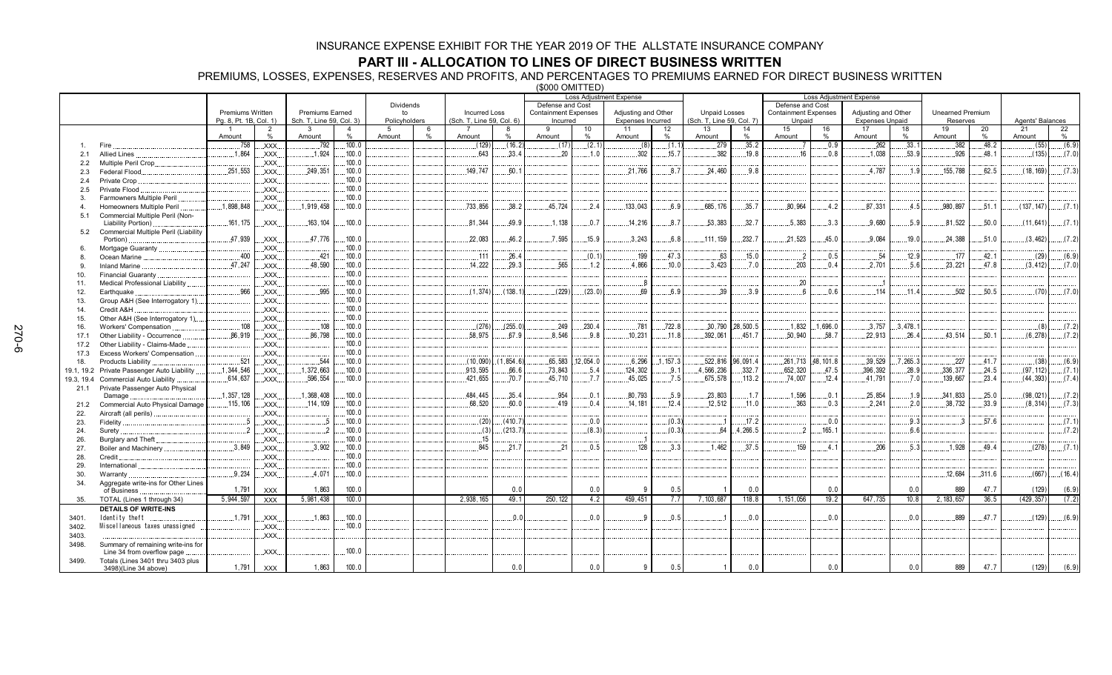### **PART III - ALLOCATION TO LINES OF DIRECT BUSINESS WRITTEN**

PREMIUMS, LOSSES, EXPENSES, RESERVES AND PROFITS, AND PERCENTAGES TO PREMIUMS EARNED FOR DIRECT BUSINESS WRITTEN

(\$000 OMITTED)

|               |                                             |                        |                        |                               |                |                    |           |                           |            |                             |           | Loss Adjustment Expense        |           |                                 |          | <b>Loss Adjustment Expense</b> |           |                              |          |                         |            |                        |         |
|---------------|---------------------------------------------|------------------------|------------------------|-------------------------------|----------------|--------------------|-----------|---------------------------|------------|-----------------------------|-----------|--------------------------------|-----------|---------------------------------|----------|--------------------------------|-----------|------------------------------|----------|-------------------------|------------|------------------------|---------|
|               |                                             |                        |                        |                               |                | Dividends          |           |                           |            | Defense and Cost            |           |                                |           |                                 |          | Defense and Cost               |           |                              |          |                         |            |                        |         |
|               |                                             | Premiums Written       |                        | <b>Premiums Earned</b>        |                | to                 |           | <b>Incurred Loss</b>      |            | <b>Containment Expenses</b> |           | Adjusting and Other            |           | <b>Unpaid Losses</b>            |          | <b>Containment Expenses</b>    |           | Adjusting and Other          |          | <b>Unearned Premium</b> |            |                        |         |
|               |                                             | Pg. 8, Pt. 1B, Col. 1) |                        | Sch. T, Line 59, Col. 3)<br>3 | $\overline{4}$ | Policyholders<br>5 |           | (Sch. T, Line 59, Col. 6) |            | Incurred<br>Q               |           | <b>Expenses Incurred</b><br>11 |           | (Sch. T, Line 59, Col. 7)<br>13 |          | Unpaid<br>15                   |           | <b>Expenses Unpaid</b><br>17 |          | Reserves<br>19          |            | Agents' Balances<br>21 |         |
|               |                                             | Amount                 | $\overline{2}$<br>$\%$ | Amount                        | %              | Amount             | 6<br>$\%$ | Amount                    | 8<br>%     | Amount                      | 10<br>%   | Amount                         | 12<br>%   | Amount                          | 14<br>%  | Amount                         | 16<br>%   | Amount                       | 18<br>%  | Amount                  | 20<br>$\%$ | Amount                 | 22<br>% |
|               | Fire                                        | .758                   | XXX.                   | .792                          | .100.0         |                    |           | (129)                     | (16.2)     | (17)                        | (2.1)     | (8)                            | (1.1)     | .279                            | .35.2    |                                | .0.9      | .262                         | .33.1    | .382                    | .48.2      | (55)                   | (6.9)   |
| 2.1           | <b>Allied Lines</b>                         | .1,864                 | XXX.                   | 1,924                         | .100.0         |                    |           | 643                       | .33.4      | .20                         | .1.0      | .302                           | .15.7     | .382                            | .19.8    | 16                             | 0.8       | 1.038                        | .53.9    | .926                    | 48.1       | (135)                  | (7.0)   |
| $2.2^{\circ}$ | Multiple Peril Crop.                        |                        | XXX.                   |                               | .100.0         |                    |           |                           |            |                             |           |                                |           |                                 |          |                                |           |                              |          |                         |            |                        |         |
| 2.3           | Federal Flood.                              | .251,553               | XXX.                   | 249.351                       | .100.0         |                    |           | 149.747                   | 60.1       |                             |           | .21.766                        | 8.7       | 24.460                          | 9.8      |                                |           | .4.787                       | 1.9      | .155,788                | 62.5       | (18, 169)              | (7.3)   |
| 2.4           | Private Crop                                |                        | XXX.                   |                               | .100.0         |                    |           |                           |            |                             |           |                                |           |                                 |          |                                |           |                              |          |                         |            |                        |         |
| 2.5           | Private Flood                               |                        | XXX.                   |                               | 100.0          |                    |           |                           |            |                             |           |                                |           |                                 |          |                                |           |                              |          |                         |            |                        |         |
| 3.            | Farmowners Multiple Peril                   |                        | XXX                    |                               | 100.0          |                    |           |                           |            |                             |           |                                |           |                                 |          |                                |           |                              |          |                         |            |                        |         |
| 4             | Homeowners Multiple Peril                   | 1,898,848              | XXX.                   | .1,919,458                    | .100.0         |                    |           | 733,856                   | .38.2      | 45,724                      | .2.4      | 133,043                        | 6.9       | .685, 176                       | .35.7    | .80,964                        | .4.2      | .87,331                      | .4.5     | .980.897                | .51.1      | (137, 147)             | (7.1)   |
| 5.1           | Commercial Multiple Peril (Non-             |                        |                        |                               |                |                    |           |                           |            |                             |           |                                |           |                                 |          |                                |           |                              |          |                         |            |                        |         |
|               | Liability Portion)                          | 161, 175               | XXX.                   | 163, 104                      | .100.0         |                    |           | 81,344                    | 49.9       | 1,138                       | 0.7       | 14,216                         | 8.7       | 53,383                          | .32.7    | .5,383                         | 3.3       | .9,680                       | .5.9     | .81,522                 | 50.0       | (11, 641)              | (7.1)   |
| 5.2           | Commercial Multiple Peril (Liability        |                        |                        |                               |                |                    |           |                           |            |                             |           |                                |           |                                 |          |                                |           |                              |          |                         |            |                        |         |
|               | Portion)                                    | 47,939                 | XXX.                   | .47,776                       | .100.0         |                    |           | .22,083                   | 46.2       | .7.595                      | .15.9     | .3.243                         | 6.8       | 111.159                         | .232.7   | .21,523                        | .45.0     | .9.084                       | .19.0    | .24,388                 | .51.0      | (3, 462)               | (7.2)   |
| 6.            | Mortgage Guaranty                           |                        | XXX.                   |                               | 100.0          |                    |           |                           |            |                             |           |                                |           |                                 |          |                                |           |                              |          |                         |            |                        |         |
| 8.            | Ocean Marine                                | .400                   | XXX.                   | .421                          | .100.0         |                    |           | 111                       | 26.4       |                             | (0.1)     | .199                           | 47.3      | 63                              | .15.0    | $\overline{2}$                 | .0.5      | .54                          | 12.9     | .177                    | 42.1       | (29)                   | (6.9)   |
| 9.            | <b>Inland Marine</b>                        | .47,247                | XXX.                   | .48,590                       | .100.0         |                    |           | .14,222                   | .29.3      | .565                        | .1.2      | .4,866                         | .10.0     | 3,423                           | .7.0     | .203                           | .0.4      | .2,701                       | .5.6     | .23,221                 | .47.8      | (3, 412)               | (7.0)   |
| 10.           | Financial Guaranty                          |                        | XXX                    |                               | .100.0         |                    |           |                           |            |                             |           |                                |           |                                 |          |                                |           |                              |          |                         |            |                        |         |
| 11.           | Medical Professional Liability              |                        | XXX.                   |                               | 100.0          |                    |           |                           |            |                             |           | 8. .                           |           |                                 |          | .20                            |           | L.                           |          |                         |            |                        |         |
| 12.           | Earthquake                                  | .966                   | XXX.                   | .995                          | .100.0         |                    |           | (1, 374)                  | (138.1)    | (229)                       | (23.0)    | .69                            | 6.9       | .39                             | .3.9     | 6                              | .0.6      | 114                          | .11.4    | .502                    | .50.5      | (70)                   | (7.0)   |
| 13.           | Group A&H (See Interrogatory 1)             |                        | XXX.                   |                               | .100.0         |                    |           |                           |            |                             |           |                                |           |                                 |          |                                |           |                              |          |                         |            |                        |         |
| 14.           | Credit A&H                                  |                        | XXX.                   |                               | .100.0         |                    |           |                           |            |                             |           |                                |           |                                 |          |                                |           |                              |          |                         |            |                        |         |
| 15.           | Other A&H (See Interrogatory 1)             |                        | XXX.                   |                               | .100.0         |                    |           |                           |            |                             |           |                                |           |                                 |          |                                |           |                              |          |                         |            |                        |         |
| 16.           | Workers' Compensation                       | .108                   | XXX.                   | .108                          | .100.0         |                    |           | (276)                     | (255.0)    | .249                        | .230.4    | .781                           | .722.8    | 30,790                          | 28,500.5 | .1,832                         | 1,696.0   | .3.757                       | .3,478.1 |                         |            | (8)                    | (7.2)   |
| 17.1          | Other Liability - Occurrence                | .86,919                | XXX.                   | 86,798                        | .100.0         |                    |           | 58.975                    | 67.9       | 8.546                       | 9.8       | .10.231                        | .11.8     | .392,061                        | .451.7   | .50,940                        | 58.7      | .22,913                      | 26.4     | .43,514                 | .50.1      | (6, 278)               | (7.2)   |
| 17.2          | Other Liability - Claims-Made               |                        | XXX.                   |                               | .100.0         |                    |           |                           |            |                             |           |                                |           |                                 |          |                                |           |                              |          |                         |            |                        |         |
| 17.3          | Excess Workers' Compensation                |                        | <b>XXX</b>             |                               | .100.0         |                    |           |                           |            |                             |           |                                |           |                                 |          |                                |           |                              |          |                         |            |                        |         |
| 18.           | Products Liability.                         | .521                   | XXX.                   | .544                          | .100.0         |                    |           | (10,090)                  | (1, 854.6) | 65,583                      | .12,054.0 | .6,296                         | .1, 157.3 | 522,816                         | 96,091.4 | .261,713                       | 48, 101.8 | .39,529                      | .7,265.3 | .227                    | .41.7      | (38)                   | (6.9)   |
|               | 19.1, 19.2 Private Passenger Auto Liability | .1,344,546             | XXX.                   | .1,372,663                    | .100.0         |                    |           | .913,595                  | .66.6      | 73,843                      | .5.4      | 124,302                        | .9.1      | 4,566,236                       | 332.7    | .652,320                       | .47.5     | .396,392                     | .28.9    | .336,377                | .24.5      | (97, 112)              | (7.1)   |
| 19.3, 19.4    | <b>Commercial Auto Liability</b>            | .614,637               | XXX.                   | .596,554                      | .100.0         |                    |           | 421,655                   | .70.7      | 45.710                      | .7.7      | .45,025                        | 7.5       | .675,578                        | .113.2   | .74,007                        | .12.4     | .41,791                      | .7.0     | .139,667                | .23.4      | (44, 393)              | (7.4)   |
|               | 21.1 Private Passenger Auto Physical        | .1,357,128             | XXX.                   | 1.368.408                     | .100.0         |                    |           | 484,445                   | 35.4       | .954                        | .0.1      | 80.793                         | .5.9      | 23.803                          | .1.7     | 1,596                          | .0.1      | 25.854                       | .1.9     | .341,833                | .25.0      | (98.021)               | (7.2)   |
| 21.2          | Damage<br>Commercial Auto Physical Damage.  | .115,106               | XXX.                   | 114, 109                      | .100.0         |                    |           | .68,520                   | 60.0       | 419                         | .0.4      | .14.181                        | .12.4     | .12.512                         | .11.0    | .363                           | .0.3      | .2.241                       | .2.0     | .38,732                 | .33.9      | (8, 314)               | (7.3)   |
| 22.           | Aircraft (all perils)                       |                        | XXX.                   |                               | 100.0          |                    |           |                           |            |                             |           |                                |           |                                 |          |                                |           |                              |          |                         |            |                        |         |
| 23.           | Fidelity                                    |                        | XXX.                   |                               | .100.0         |                    |           | (20)                      | (410.7)    |                             | .0.0      |                                | (0.3)     |                                 | .17.2    |                                | 0.0       |                              | .9.3     |                         | .57.6      |                        | (7.1)   |
| 24.           | Surety.                                     | 2                      | XXX.                   |                               | .100.0         |                    |           | (3)                       | (213.7)    |                             | (8.3)     |                                | (0.3)     | 64                              | 4,266.5  | っ                              | .165.1    |                              | 6.6      |                         |            |                        | (7.2)   |
| 26.           | Burglary and Theft                          |                        | XXX.                   |                               | 100.0          |                    |           | .15                       |            |                             |           | - 1                            |           |                                 |          |                                |           |                              |          |                         |            |                        |         |
| 27.           | Boiler and Machinery                        | .3.849                 | XXX.                   | .3.902                        | .100.0         |                    |           | 845                       | 21.7       | 21                          | 0.5       | .128                           | 3.3       | 1.462                           | 37.5     | 159                            | 4.1       | .206                         | .5.3     | 1.928                   | 49.4       | (278)                  | (7.1)   |
| 28.           | Credit                                      |                        | XXX                    |                               | .100.0         |                    |           |                           |            |                             |           |                                |           |                                 |          |                                |           |                              |          |                         |            |                        |         |
| 29.           | International                               |                        | XXX                    |                               | .100.0         |                    |           |                           |            |                             |           |                                |           |                                 |          |                                |           |                              |          |                         |            |                        |         |
| 30.           | Warranty                                    | .9.234                 | XXX.                   | .4,071                        | .100.0         |                    |           |                           |            |                             |           |                                |           |                                 |          |                                |           |                              |          | .12,684                 | .311.6     | (667)                  | (16.4)  |
| 34.           | Aggregate write-ins for Other Lines         |                        |                        |                               |                |                    |           |                           |            |                             |           |                                |           |                                 |          |                                |           |                              |          |                         |            |                        |         |
|               | of Business                                 | 1,791                  | <b>XXX</b>             | 1,863                         | 100.0          |                    |           |                           | 0.0        |                             | 0.0       | <b>O</b>                       | 0.5       |                                 | 0.0      |                                | 0.0       |                              | 0.0      | 889                     | 47.7       | (129)                  | (6.9)   |
| 35.           | TOTAL (Lines 1 through 34)                  | 5,944,597              | <b>XXX</b>             | 5,981,438                     | 100.0          |                    |           | 2,938,165                 | 49.1       | 250.122                     | 4.2       | 459,451                        | 7.7       | 7,103,687                       | 118.8    | 1, 151, 056                    | 19.2      | 647,735                      | 10.8     | 2, 183, 657             | 36.5       | (429, 357)             | (7.2)   |
|               | <b>DETAILS OF WRITE-INS</b>                 |                        |                        |                               |                |                    |           |                           |            |                             |           |                                |           |                                 |          |                                |           |                              |          |                         |            |                        |         |
| 3401          | Identity theft                              | .1.791                 | XXX.                   | .1,863                        | .100.0         |                    |           |                           | 0.0        |                             | 0.0       | c                              | 0.5       |                                 | 0.0      |                                | 0.0       |                              | 0.0      | 889                     | 47.7       | (129)                  | (6.9)   |
| 3402.         | Miscellaneous taxes unassigned              |                        | XXX.                   |                               | 100.0          |                    |           |                           |            |                             |           |                                |           |                                 |          |                                |           |                              |          |                         |            |                        |         |
| 3403.         |                                             |                        | XXX.                   |                               |                |                    |           |                           |            |                             |           |                                |           |                                 |          |                                |           |                              |          |                         |            |                        |         |
| 3498.         | Summary of remaining write-ins for          |                        |                        |                               |                |                    |           |                           |            |                             |           |                                |           |                                 |          |                                |           |                              |          |                         |            |                        |         |
|               | Line 34 from overflow page                  |                        | XXX.                   |                               | .100.0         |                    |           |                           |            |                             |           |                                |           |                                 |          |                                |           |                              |          |                         |            |                        |         |
| 3499.         | Totals (Lines 3401 thru 3403 plus           |                        |                        |                               |                |                    |           |                           |            |                             |           |                                |           |                                 |          |                                |           |                              |          |                         |            |                        |         |
|               | 3498)(Line 34 above)                        | 1,791                  | <b>XXX</b>             | 1,863                         | 100.0          |                    |           |                           | 0.0        |                             | 0.0       | 9                              | 0.5       |                                 | 0.0      |                                | 0.0       |                              | 0.0      | 889                     | 47.7       | (129)                  | (6.9)   |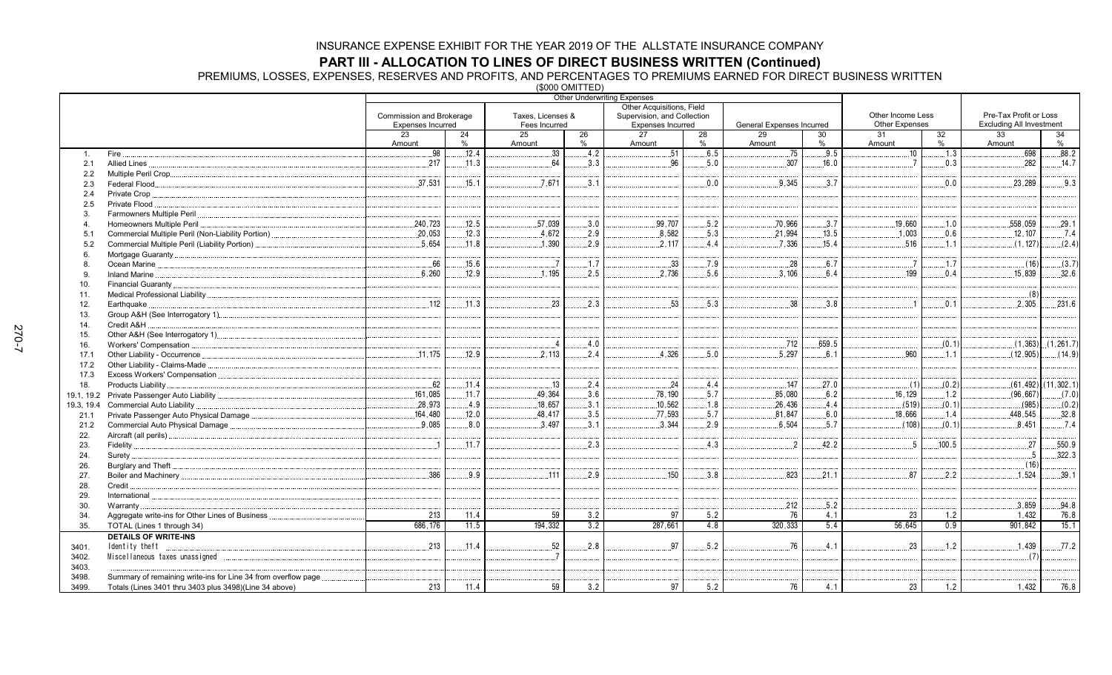**PART III - ALLOCATION TO LINES OF DIRECT BUSINESS WRITTEN (Continued)<br>PREMIUMS, LOSSES, EXPENSES, RESERVES AND PROFITS, AND PERCENTAGES TO PREMIUMS EARNED FOR DIRECT BUSINESS WRITTEN<br>(\$000 OMITTED)** 

|                       |                                                                |                          |         |                   | (vvvv v………… | <b>Other Underwriting Expenses</b> |            |                           |         |                       |         |                                 |                         |
|-----------------------|----------------------------------------------------------------|--------------------------|---------|-------------------|-------------|------------------------------------|------------|---------------------------|---------|-----------------------|---------|---------------------------------|-------------------------|
|                       |                                                                |                          |         |                   |             | Other Acquisitions, Field          |            |                           |         |                       |         |                                 |                         |
|                       |                                                                | Commission and Brokerage |         | Taxes, Licenses & |             | Supervision, and Collection        |            |                           |         | Other Income Less     |         | Pre-Tax Profit or Loss          |                         |
|                       |                                                                | <b>Expenses Incurred</b> |         | Fees Incurred     |             | <b>Expenses Incurred</b>           |            | General Expenses Incurred |         | <b>Other Expenses</b> |         | <b>Excluding All Investment</b> |                         |
|                       |                                                                | 23<br>Amount             | 24<br>% | 25<br>Amount      | 26<br>%     | 27<br>Amount                       | 28<br>$\%$ | 29<br>Amount              | 30<br>% | 31<br>Amount          | 32<br>% | 33<br>Amount                    | 34<br>$\%$              |
|                       | Fire.                                                          | .98                      | .12.4   | 33 <sup>3</sup>   | 4.2         | 51                                 | .6.5       | .75                       | .9.5    | .10                   | .1.3    | 698                             | 88.2                    |
| $\mathbf{1}$ .<br>2.1 | Allied Lines                                                   | .217                     | .11.3   | 64                | .3.3        | 96                                 | .5.0       | .307                      | .16.0   | $\overline{7}$        | 0.3     | 282                             | .14.7                   |
|                       |                                                                |                          |         |                   |             |                                    |            |                           |         |                       |         |                                 |                         |
| 2.2<br>2.3            |                                                                | .37.531                  | .15.1   | .7.671            | 3.1         |                                    | 0.0        | 9.345                     | .3.7    |                       | 0.0     | .23,289                         | .9.3                    |
| 2.4                   | Private Crop                                                   |                          |         |                   |             |                                    |            |                           |         |                       |         |                                 |                         |
| 2.5                   | Private Flood                                                  |                          |         |                   |             |                                    |            |                           |         |                       |         |                                 |                         |
| 3                     |                                                                |                          |         |                   |             |                                    |            |                           |         |                       |         |                                 |                         |
| 4                     | Homeowners Multiple Peril                                      | 240,723                  | .12.5   | 57,039            | .3.0        | .99,707                            | .5.2       | .70,966                   | 3.7     | 19,660                | 1.0     | 558,059                         | 29.1                    |
| 5.1                   |                                                                | .20,053                  | .12.3   | .4.672            | .2.9        | 8,582                              | .5.3       | .21,994                   | .13.5   | .1.003                | 0.6     | .12,107                         | .7.4                    |
| 5.2                   | Commercial Multiple Peril (Liability Portion)                  | 5.654                    | 11.8    | 1.390             | 2.9         | 2.117                              | 4.4        | 7.336                     | .15.4   | 516                   | .1.1    | (1, 127)                        | (2.4)                   |
| 6.                    |                                                                |                          |         |                   |             |                                    |            |                           |         |                       |         |                                 |                         |
| 8.                    |                                                                | .66                      | .15.6   | $\overline{7}$    | .1.7        | 33                                 | .7.9       | .28                       | .6.7    | $\overline{a}$        | .1.7    | (16)                            | (3.7)                   |
| 9.                    | Inland Marine                                                  | .6,260                   | 12.9    | .1.195            | .2.5        | .2,736                             | 5.6        | .3,106                    | 6.4     | .199                  | 0.4     | .15,839                         | .32.6                   |
| 10.                   |                                                                |                          |         |                   |             |                                    |            |                           |         |                       |         |                                 |                         |
| 11.                   |                                                                |                          |         |                   |             |                                    |            |                           |         |                       |         | (8)                             |                         |
| 12.                   | Earthquake.                                                    | .112                     | .11.3   | .23               | .2.3        | .53                                | .5.3       | .38                       | .3.8    | $\overline{1}$        | .0.1    | .2.305                          | .231.6                  |
| 13.                   |                                                                |                          |         |                   |             |                                    |            |                           |         |                       |         |                                 |                         |
| 14.                   | Credit A&H                                                     |                          |         |                   |             |                                    |            |                           |         |                       |         |                                 |                         |
| 15.                   |                                                                |                          |         |                   |             |                                    |            |                           |         |                       |         |                                 |                         |
| 16.                   |                                                                |                          |         |                   | 4.0         |                                    |            | .712                      | .659.5  |                       | (0.1)   |                                 | $(1,363)$ (1,261.7)     |
| 17.1                  |                                                                | 11,175                   | .12.9   | .2.113            | .2.4        | .4,326                             | .5.0       | .5,297                    | .6.1    | 960                   | 1.1     | (12, 905)                       | (14.9)                  |
| 17.2                  |                                                                |                          |         |                   |             |                                    |            |                           |         |                       |         |                                 |                         |
| 17.3                  |                                                                |                          |         |                   |             |                                    |            |                           |         |                       |         |                                 |                         |
| 18.                   | Products Liability                                             | 62                       | .11.4   | .13               | .2.4        | .24                                | .4.4       | .147                      | .27.0   | (1)                   | (0.2)   |                                 | $(61, 492)$ (11, 302.1) |
|                       |                                                                | 161.085                  | 11.7    | .49,364           | .3.6        | .78,190                            | .5.7       | .85,080                   | 6.2     | .16.129               | .1.2    | (96.667)                        | (7.0)                   |
| 19.3, 19.4            | Commercial Auto Liability                                      | .28,973                  | .4.9    | .18,657           | .3.1        | .10,562                            | .1.8       | 26,436                    | .4.4    | (519)                 | (0.1)   | (985)                           | (0.2)                   |
| 21.1                  |                                                                | .164,480                 | 12.0    | 48,417            | .3.5        | .77,593                            | .5.7       | 81,847                    | .6.0    | .18.666               | .1.4    | .448,545                        | .32.8                   |
| 21.2                  | Commercial Auto Physical Damage                                | .9.085                   | 8.0     | 3.497             | 3.1         | 3,344                              | .2.9       | 6.504                     | .5.7    | (108)                 | (0.1)   | .8.451                          | .7.4                    |
| 22.                   |                                                                |                          |         |                   |             |                                    |            |                           |         |                       |         |                                 |                         |
| 23.                   |                                                                | $\overline{1}$           | 11.7    |                   | 2.3         |                                    | .4.3       | $\overline{2}$            | .42.2   | - 5                   | 100.5   | 27                              | .550.9                  |
| 24.                   | Surety                                                         |                          |         |                   |             |                                    |            |                           |         |                       |         | -5                              | .322.3                  |
| 26.                   |                                                                |                          |         |                   |             |                                    |            |                           |         |                       |         | (16)                            |                         |
| 27.                   |                                                                | 386                      | 9.9     | 111               | 2.9         | .150                               | 3.8        | 823                       | 21.1    | 87                    | 2.2     | 1.524                           | .39.1                   |
| 28.                   | Credit.                                                        |                          |         |                   |             |                                    |            |                           |         |                       |         |                                 |                         |
| 29.                   | International                                                  |                          |         |                   |             |                                    |            |                           |         |                       |         |                                 |                         |
| 30.                   | Warranty.                                                      |                          |         |                   |             |                                    |            | 212                       | .5.2    |                       |         | 3,859                           | .94.8                   |
| 34.                   | Aggregate write-ins for Other Lines of Business                | 213                      | 11.4    | 59                | 3.2         | 97                                 | $5.2$      | 76                        | 4.1     | 23                    | 1.2     | 1,432                           | 76.8                    |
| 35.                   | TOTAL (Lines 1 through 34)                                     | 686.176                  | 11.5    | 194,332           | 3.2         | 287,661                            | 4.8        | 320, 333                  | 5.4     | 56,645                | 0.9     | 901.842                         | 15.1                    |
|                       | <b>DETAILS OF WRITE-INS</b>                                    |                          |         |                   |             |                                    |            |                           |         |                       |         |                                 |                         |
| 3401.                 | Identity theft                                                 | 213<br>.                 | .11.4   | .52               | .2.8        | 97                                 | .5.2       | 76                        | .4.1    | 23                    | .1.2    | 1,439                           | .77.2                   |
| 3402.                 |                                                                |                          |         |                   |             |                                    |            |                           |         |                       |         | (7)                             |                         |
| 3403.                 |                                                                |                          |         |                   |             |                                    |            |                           |         |                       |         |                                 |                         |
| 3498.                 | Summary of remaining write-ins for Line 34 from overflow page. |                          |         |                   |             |                                    |            |                           |         |                       |         |                                 |                         |
| 3499.                 | Totals (Lines 3401 thru 3403 plus 3498)(Line 34 above)         | 213                      | 11.4    | 59                | 3.2         | 97                                 | 5.2        | 76                        | 4.1     | 23                    | 1.2     | 1.432                           | 76.8                    |
|                       |                                                                |                          |         |                   |             |                                    |            |                           |         |                       |         |                                 |                         |